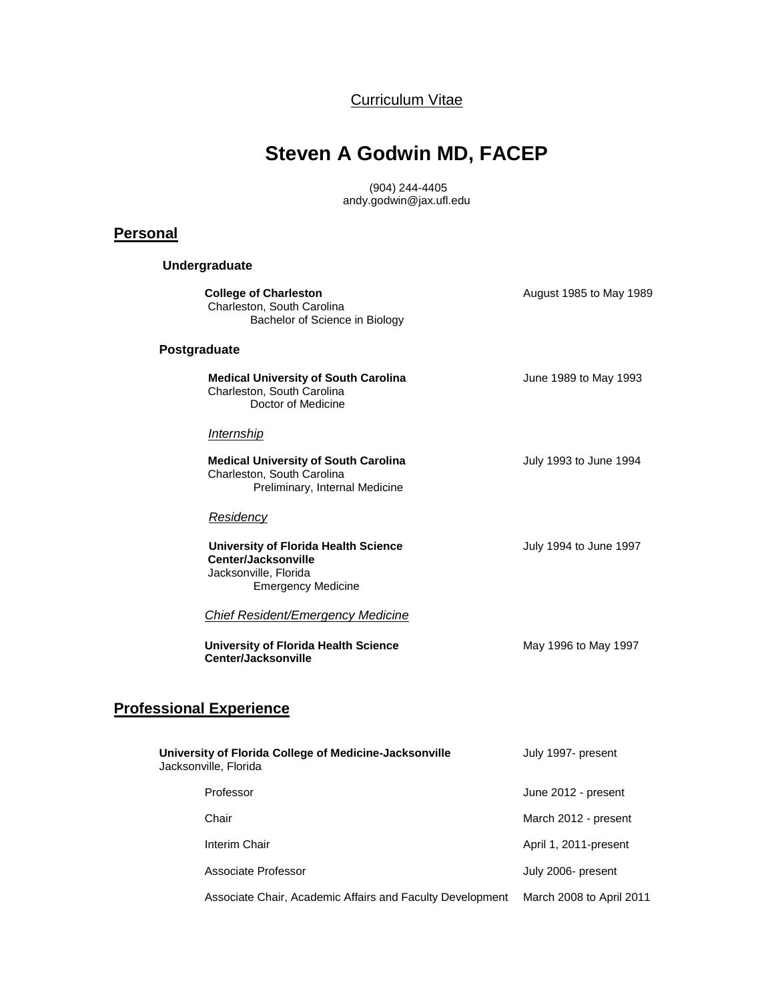Curriculum Vitae

# **Steven A Godwin MD, FACEP**

(904) 244-4405 andy.godwin@jax.ufl.edu

## **Personal**

**Undergraduate**

| <b>College of Charleston</b><br>Charleston, South Carolina<br>Bachelor of Science in Biology                      | August 1985 to May 1989 |
|-------------------------------------------------------------------------------------------------------------------|-------------------------|
| Postgraduate                                                                                                      |                         |
| <b>Medical University of South Carolina</b><br>Charleston, South Carolina<br>Doctor of Medicine                   | June 1989 to May 1993   |
| <b>Internship</b>                                                                                                 |                         |
| <b>Medical University of South Carolina</b><br>Charleston, South Carolina<br>Preliminary, Internal Medicine       | July 1993 to June 1994  |
| <u>Residency</u>                                                                                                  |                         |
| University of Florida Health Science<br>Center/Jacksonville<br>Jacksonville, Florida<br><b>Emergency Medicine</b> | July 1994 to June 1997  |
| <b>Chief Resident/Emergency Medicine</b>                                                                          |                         |
| <b>University of Florida Health Science</b><br>Center/Jacksonville                                                | May 1996 to May 1997    |
|                                                                                                                   |                         |

# **Professional Experience**

| University of Florida College of Medicine-Jacksonville<br>Jacksonville, Florida | July 1997- present       |
|---------------------------------------------------------------------------------|--------------------------|
| Professor                                                                       | June 2012 - present      |
| Chair                                                                           | March 2012 - present     |
| Interim Chair                                                                   | April 1, 2011-present    |
| Associate Professor                                                             | July 2006- present       |
| Associate Chair, Academic Affairs and Faculty Development                       | March 2008 to April 2011 |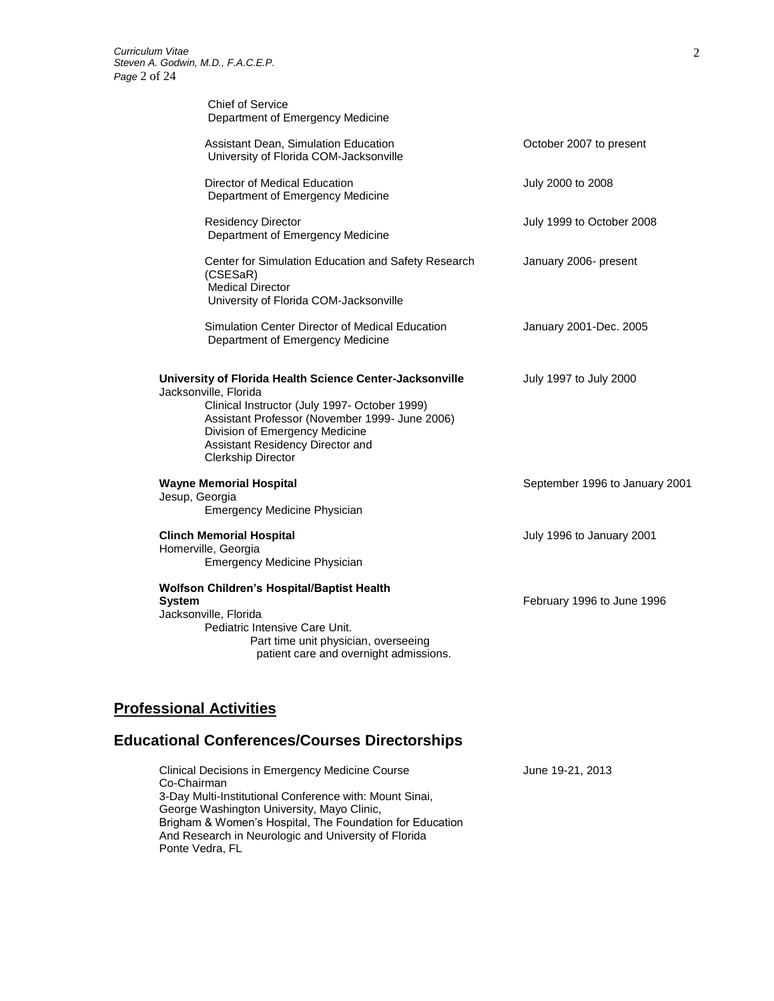| Chief of Service<br>Department of Emergency Medicine                                                                                                                                                                                                                                    |                                |
|-----------------------------------------------------------------------------------------------------------------------------------------------------------------------------------------------------------------------------------------------------------------------------------------|--------------------------------|
| Assistant Dean, Simulation Education<br>University of Florida COM-Jacksonville                                                                                                                                                                                                          | October 2007 to present        |
| Director of Medical Education<br>Department of Emergency Medicine                                                                                                                                                                                                                       | July 2000 to 2008              |
| <b>Residency Director</b><br>Department of Emergency Medicine                                                                                                                                                                                                                           | July 1999 to October 2008      |
| Center for Simulation Education and Safety Research<br>(CSESaR)<br><b>Medical Director</b><br>University of Florida COM-Jacksonville                                                                                                                                                    | January 2006- present          |
| Simulation Center Director of Medical Education<br>Department of Emergency Medicine                                                                                                                                                                                                     | January 2001-Dec. 2005         |
| University of Florida Health Science Center-Jacksonville<br>Jacksonville, Florida<br>Clinical Instructor (July 1997- October 1999)<br>Assistant Professor (November 1999- June 2006)<br>Division of Emergency Medicine<br>Assistant Residency Director and<br><b>Clerkship Director</b> | July 1997 to July 2000         |
| <b>Wayne Memorial Hospital</b><br>Jesup, Georgia<br><b>Emergency Medicine Physician</b>                                                                                                                                                                                                 | September 1996 to January 2001 |
| <b>Clinch Memorial Hospital</b><br>Homerville, Georgia<br><b>Emergency Medicine Physician</b>                                                                                                                                                                                           | July 1996 to January 2001      |
| Wolfson Children's Hospital/Baptist Health<br><b>System</b><br>Jacksonville, Florida                                                                                                                                                                                                    | February 1996 to June 1996     |

# **Professional Activities**

# **Educational Conferences/Courses Directorships**

| <b>Clinical Decisions in Emergency Medicine Course</b>   | June 19-21, 2013 |
|----------------------------------------------------------|------------------|
| Co-Chairman                                              |                  |
| 3-Day Multi-Institutional Conference with: Mount Sinai,  |                  |
| George Washington University, Mayo Clinic,               |                  |
| Brigham & Women's Hospital, The Foundation for Education |                  |
| And Research in Neurologic and University of Florida     |                  |
| Ponte Vedra, FL                                          |                  |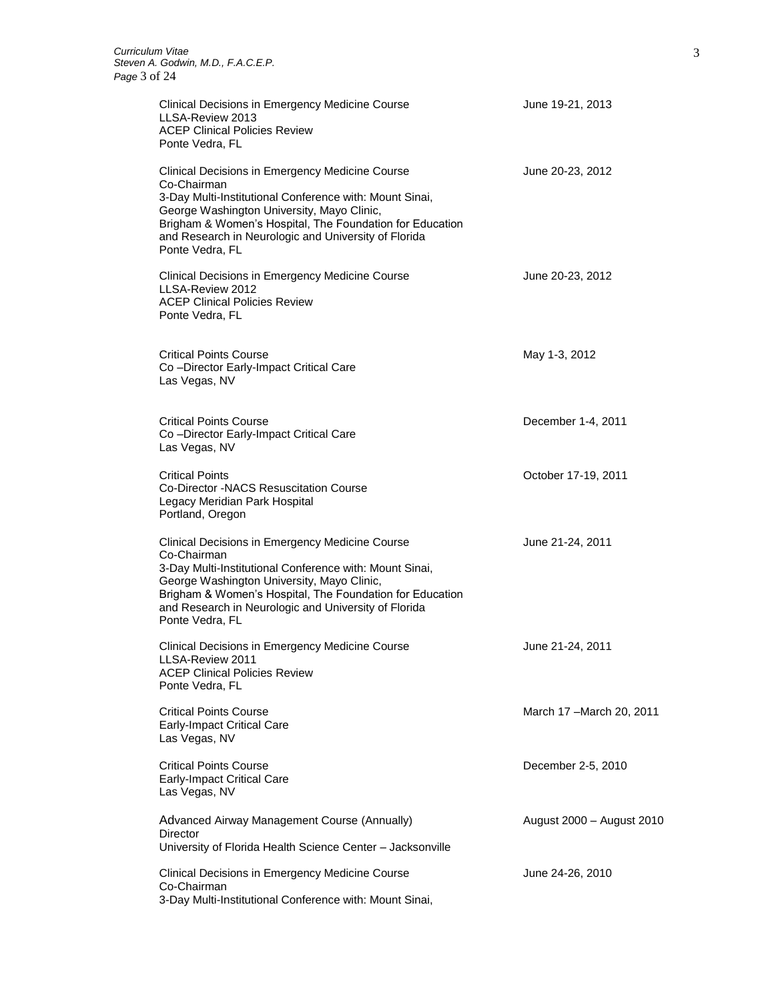| Clinical Decisions in Emergency Medicine Course<br>LLSA-Review 2013<br><b>ACEP Clinical Policies Review</b><br>Ponte Vedra, FL                                                                                                                                                                                        | June 19-21, 2013          |
|-----------------------------------------------------------------------------------------------------------------------------------------------------------------------------------------------------------------------------------------------------------------------------------------------------------------------|---------------------------|
| Clinical Decisions in Emergency Medicine Course<br>Co-Chairman<br>3-Day Multi-Institutional Conference with: Mount Sinai,<br>George Washington University, Mayo Clinic,<br>Brigham & Women's Hospital, The Foundation for Education<br>and Research in Neurologic and University of Florida<br>Ponte Vedra, FL        | June 20-23, 2012          |
| <b>Clinical Decisions in Emergency Medicine Course</b><br>LLSA-Review 2012<br><b>ACEP Clinical Policies Review</b><br>Ponte Vedra, FL                                                                                                                                                                                 | June 20-23, 2012          |
| <b>Critical Points Course</b><br>Co-Director Early-Impact Critical Care<br>Las Vegas, NV                                                                                                                                                                                                                              | May 1-3, 2012             |
| <b>Critical Points Course</b><br>Co-Director Early-Impact Critical Care<br>Las Vegas, NV                                                                                                                                                                                                                              | December 1-4, 2011        |
| <b>Critical Points</b><br>Co-Director -NACS Resuscitation Course<br>Legacy Meridian Park Hospital<br>Portland, Oregon                                                                                                                                                                                                 | October 17-19, 2011       |
| <b>Clinical Decisions in Emergency Medicine Course</b><br>Co-Chairman<br>3-Day Multi-Institutional Conference with: Mount Sinai,<br>George Washington University, Mayo Clinic,<br>Brigham & Women's Hospital, The Foundation for Education<br>and Research in Neurologic and University of Florida<br>Ponte Vedra, FL | June 21-24, 2011          |
| Clinical Decisions in Emergency Medicine Course<br>LLSA-Review 2011<br><b>ACEP Clinical Policies Review</b><br>Ponte Vedra, FL                                                                                                                                                                                        | June 21-24, 2011          |
| <b>Critical Points Course</b><br><b>Early-Impact Critical Care</b><br>Las Vegas, NV                                                                                                                                                                                                                                   | March 17 - March 20, 2011 |
| <b>Critical Points Course</b><br><b>Early-Impact Critical Care</b><br>Las Vegas, NV                                                                                                                                                                                                                                   | December 2-5, 2010        |
| Advanced Airway Management Course (Annually)<br>Director<br>University of Florida Health Science Center - Jacksonville                                                                                                                                                                                                | August 2000 - August 2010 |
| Clinical Decisions in Emergency Medicine Course<br>Co-Chairman<br>3-Day Multi-Institutional Conference with: Mount Sinai,                                                                                                                                                                                             | June 24-26, 2010          |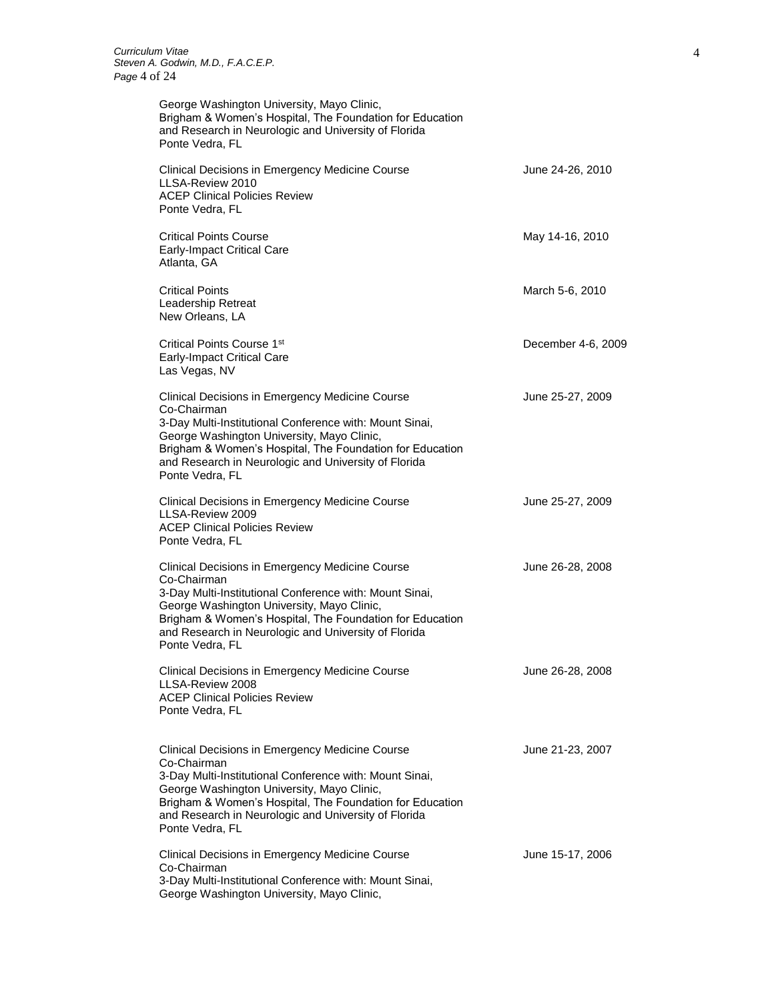| George Washington University, Mayo Clinic,<br>Brigham & Women's Hospital, The Foundation for Education<br>and Research in Neurologic and University of Florida<br>Ponte Vedra, FL                                                                                                                              |                    |
|----------------------------------------------------------------------------------------------------------------------------------------------------------------------------------------------------------------------------------------------------------------------------------------------------------------|--------------------|
| Clinical Decisions in Emergency Medicine Course<br>LLSA-Review 2010<br><b>ACEP Clinical Policies Review</b><br>Ponte Vedra, FL                                                                                                                                                                                 | June 24-26, 2010   |
| <b>Critical Points Course</b><br><b>Early-Impact Critical Care</b><br>Atlanta, GA                                                                                                                                                                                                                              | May 14-16, 2010    |
| <b>Critical Points</b><br>Leadership Retreat<br>New Orleans, LA                                                                                                                                                                                                                                                | March 5-6, 2010    |
| Critical Points Course 1 <sup>st</sup><br><b>Early-Impact Critical Care</b><br>Las Vegas, NV                                                                                                                                                                                                                   | December 4-6, 2009 |
| Clinical Decisions in Emergency Medicine Course<br>Co-Chairman<br>3-Day Multi-Institutional Conference with: Mount Sinai,<br>George Washington University, Mayo Clinic,<br>Brigham & Women's Hospital, The Foundation for Education<br>and Research in Neurologic and University of Florida<br>Ponte Vedra, FL | June 25-27, 2009   |
| Clinical Decisions in Emergency Medicine Course<br>LLSA-Review 2009<br><b>ACEP Clinical Policies Review</b><br>Ponte Vedra, FL                                                                                                                                                                                 | June 25-27, 2009   |
| Clinical Decisions in Emergency Medicine Course<br>Co-Chairman<br>3-Day Multi-Institutional Conference with: Mount Sinai,<br>George Washington University, Mayo Clinic,<br>Brigham & Women's Hospital, The Foundation for Education<br>and Research in Neurologic and University of Florida<br>Ponte Vedra, FL | June 26-28, 2008   |
| Clinical Decisions in Emergency Medicine Course<br>LLSA-Review 2008<br><b>ACEP Clinical Policies Review</b><br>Ponte Vedra, FL                                                                                                                                                                                 | June 26-28, 2008   |
| Clinical Decisions in Emergency Medicine Course<br>Co-Chairman<br>3-Day Multi-Institutional Conference with: Mount Sinai,<br>George Washington University, Mayo Clinic,<br>Brigham & Women's Hospital, The Foundation for Education<br>and Research in Neurologic and University of Florida<br>Ponte Vedra, FL | June 21-23, 2007   |
| Clinical Decisions in Emergency Medicine Course<br>Co-Chairman<br>3-Day Multi-Institutional Conference with: Mount Sinai,<br>George Washington University, Mayo Clinic,                                                                                                                                        | June 15-17, 2006   |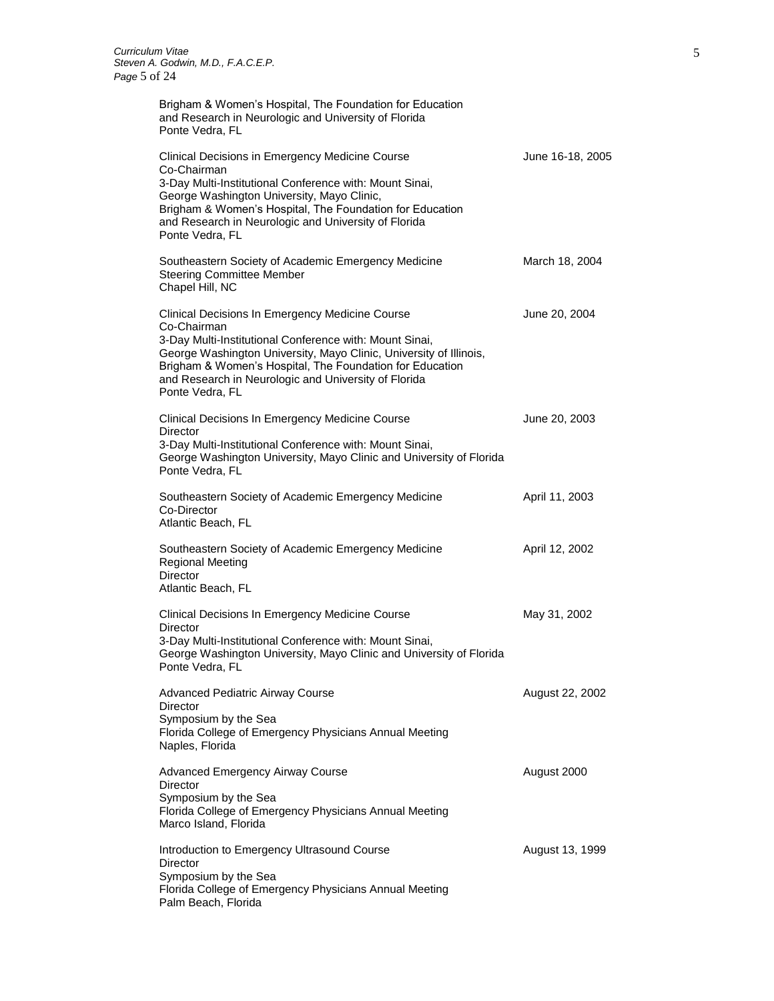Brigham & Women's Hospital, The Foundation for Education

and Research in Neurologic and University of Florida Ponte Vedra, FL Clinical Decisions in Emergency Medicine Course **June 16-18, 2005** Co-Chairman 3-Day Multi-Institutional Conference with: Mount Sinai, George Washington University, Mayo Clinic, Brigham & Women's Hospital, The Foundation for Education and Research in Neurologic and University of Florida Ponte Vedra, FL Southeastern Society of Academic Emergency Medicine March 18, 2004 Steering Committee Member Chapel Hill, NC Clinical Decisions In Emergency Medicine Course June 20, 2004 Co-Chairman 3-Day Multi-Institutional Conference with: Mount Sinai, George Washington University, Mayo Clinic, University of Illinois, Brigham & Women's Hospital, The Foundation for Education and Research in Neurologic and University of Florida Ponte Vedra, FL Clinical Decisions In Emergency Medicine Course **Figure 20, 2003** June 20, 2003 **Director** 3-Day Multi-Institutional Conference with: Mount Sinai, George Washington University, Mayo Clinic and University of Florida Ponte Vedra, FL Southeastern Society of Academic Emergency Medicine **April 11, 2003** Co-Director Atlantic Beach, FL Southeastern Society of Academic Emergency Medicine **April 12, 2002** Regional Meeting **Director** Atlantic Beach, FL Clinical Decisions In Emergency Medicine Course **Manual Strutter Manual Accord May 31**, 2002 **Director** 3-Day Multi-Institutional Conference with: Mount Sinai, George Washington University, Mayo Clinic and University of Florida Ponte Vedra, FL Advanced Pediatric Airway Course **August 22, 2002 Director** Symposium by the Sea Florida College of Emergency Physicians Annual Meeting Naples, Florida Advanced Emergency Airway Course **August 2000** August 2000 **Director** Symposium by the Sea Florida College of Emergency Physicians Annual Meeting Marco Island, Florida Introduction to Emergency Ultrasound Course **August 13, 1999 Director** Symposium by the Sea Florida College of Emergency Physicians Annual Meeting Palm Beach, Florida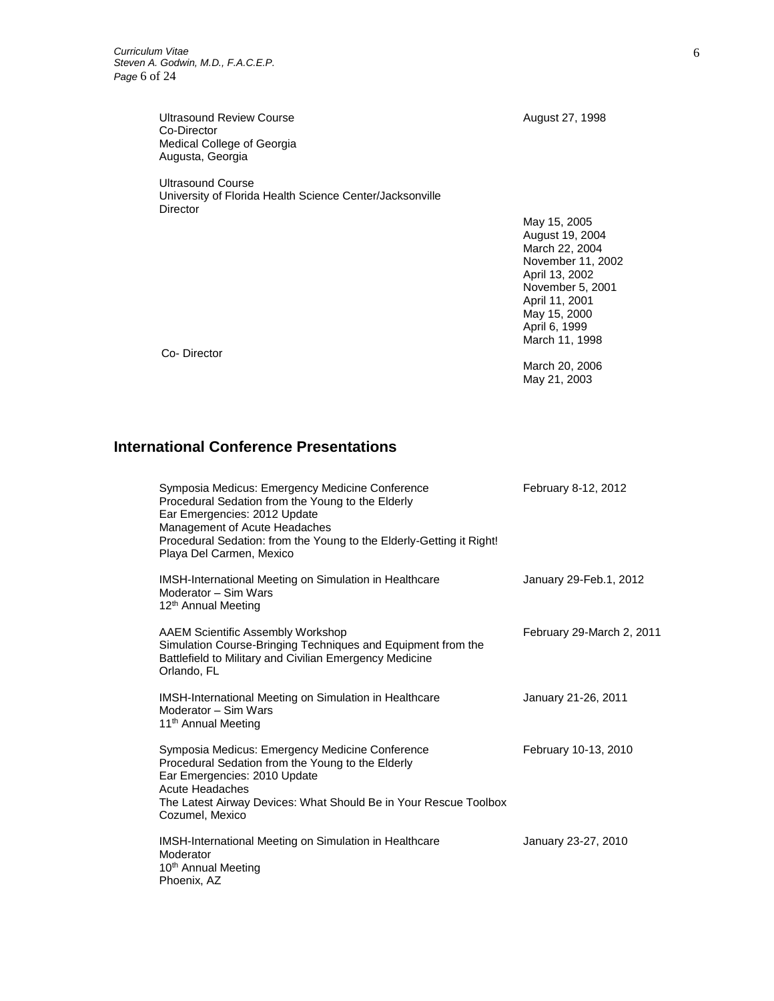Ultrasound Review Course **August 27, 1998** Co-Director Medical College of Georgia Augusta, Georgia

Ultrasound Course University of Florida Health Science Center/Jacksonville Director

May 15, 2005 August 19, 2004 March 22, 2004 November 11, 2002 April 13, 2002 November 5, 2001 April 11, 2001 May 15, 2000 April 6, 1999 March 11, 1998

March 20, 2006 May 21, 2003

Co- Director

# **International Conference Presentations**

| Symposia Medicus: Emergency Medicine Conference<br>Procedural Sedation from the Young to the Elderly<br>Ear Emergencies: 2012 Update<br>Management of Acute Headaches<br>Procedural Sedation: from the Young to the Elderly-Getting it Right!<br>Playa Del Carmen, Mexico | February 8-12, 2012       |
|---------------------------------------------------------------------------------------------------------------------------------------------------------------------------------------------------------------------------------------------------------------------------|---------------------------|
| <b>IMSH-International Meeting on Simulation in Healthcare</b><br>Moderator - Sim Wars<br>12 <sup>th</sup> Annual Meeting                                                                                                                                                  | January 29-Feb.1, 2012    |
| <b>AAEM Scientific Assembly Workshop</b><br>Simulation Course-Bringing Techniques and Equipment from the<br>Battlefield to Military and Civilian Emergency Medicine<br>Orlando, FL                                                                                        | February 29-March 2, 2011 |
| <b>IMSH-International Meeting on Simulation in Healthcare</b><br>Moderator – Sim Wars<br>11 <sup>th</sup> Annual Meeting                                                                                                                                                  | January 21-26, 2011       |
| Symposia Medicus: Emergency Medicine Conference<br>Procedural Sedation from the Young to the Elderly<br>Ear Emergencies: 2010 Update<br>Acute Headaches<br>The Latest Airway Devices: What Should Be in Your Rescue Toolbox<br>Cozumel, Mexico                            | February 10-13, 2010      |
| <b>IMSH-International Meeting on Simulation in Healthcare</b><br>Moderator<br>10 <sup>th</sup> Annual Meeting<br>Phoenix, AZ                                                                                                                                              | January 23-27, 2010       |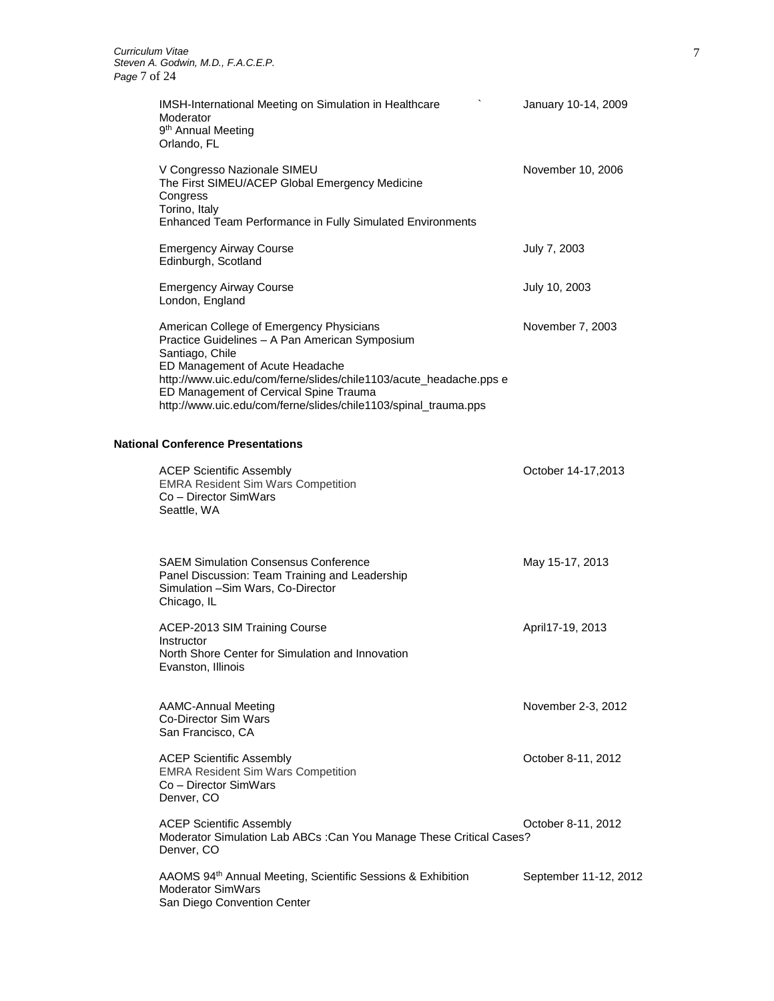| IMSH-International Meeting on Simulation in Healthcare<br>Moderator<br>9 <sup>th</sup> Annual Meeting<br>Orlando, FL                                                                                                                                                                                                                | January 10-14, 2009 |
|-------------------------------------------------------------------------------------------------------------------------------------------------------------------------------------------------------------------------------------------------------------------------------------------------------------------------------------|---------------------|
| V Congresso Nazionale SIMEU<br>The First SIMEU/ACEP Global Emergency Medicine<br>Congress<br>Torino, Italy<br>Enhanced Team Performance in Fully Simulated Environments                                                                                                                                                             | November 10, 2006   |
| <b>Emergency Airway Course</b><br>Edinburgh, Scotland                                                                                                                                                                                                                                                                               | July 7, 2003        |
| <b>Emergency Airway Course</b><br>London, England                                                                                                                                                                                                                                                                                   | July 10, 2003       |
| American College of Emergency Physicians<br>Practice Guidelines - A Pan American Symposium<br>Santiago, Chile<br>ED Management of Acute Headache<br>http://www.uic.edu/com/ferne/slides/chile1103/acute_headache.pps e<br>ED Management of Cervical Spine Trauma<br>http://www.uic.edu/com/ferne/slides/chile1103/spinal_trauma.pps | November 7, 2003    |
| <b>National Conference Presentations</b>                                                                                                                                                                                                                                                                                            |                     |
| <b>ACEP Scientific Assembly</b><br><b>EMRA Resident Sim Wars Competition</b><br>Co - Director SimWars<br>Seattle, WA                                                                                                                                                                                                                | October 14-17,2013  |
| <b>SAEM Simulation Consensus Conference</b><br>Panel Discussion: Team Training and Leadership<br>Simulation - Sim Wars, Co-Director<br>Chicago, IL                                                                                                                                                                                  | May 15-17, 2013     |
| ACEP-2013 SIM Training Course<br>Instructor<br>North Shore Center for Simulation and Innovation<br>Evanston, Illinois                                                                                                                                                                                                               | April17-19, 2013    |
| <b>AAMC-Annual Meeting</b><br><b>Co-Director Sim Wars</b><br>San Francisco, CA                                                                                                                                                                                                                                                      | November 2-3, 2012  |
| <b>ACEP Scientific Assembly</b>                                                                                                                                                                                                                                                                                                     | October 8-11, 2012  |

EMRA Resident Sim Wars Competition Co – Director SimWars Denver, CO

ACEP Scientific Assembly **Access 2012 October 8-11, 2012** Moderator Simulation Lab ABCs :Can You Manage These Critical Cases? Denver, CO

| AAOMS 94 <sup>th</sup> Annual Meeting, Scientific Sessions & Exhibition | September 11-12, 2012 |
|-------------------------------------------------------------------------|-----------------------|
| Moderator SimWars                                                       |                       |
| San Diego Convention Center                                             |                       |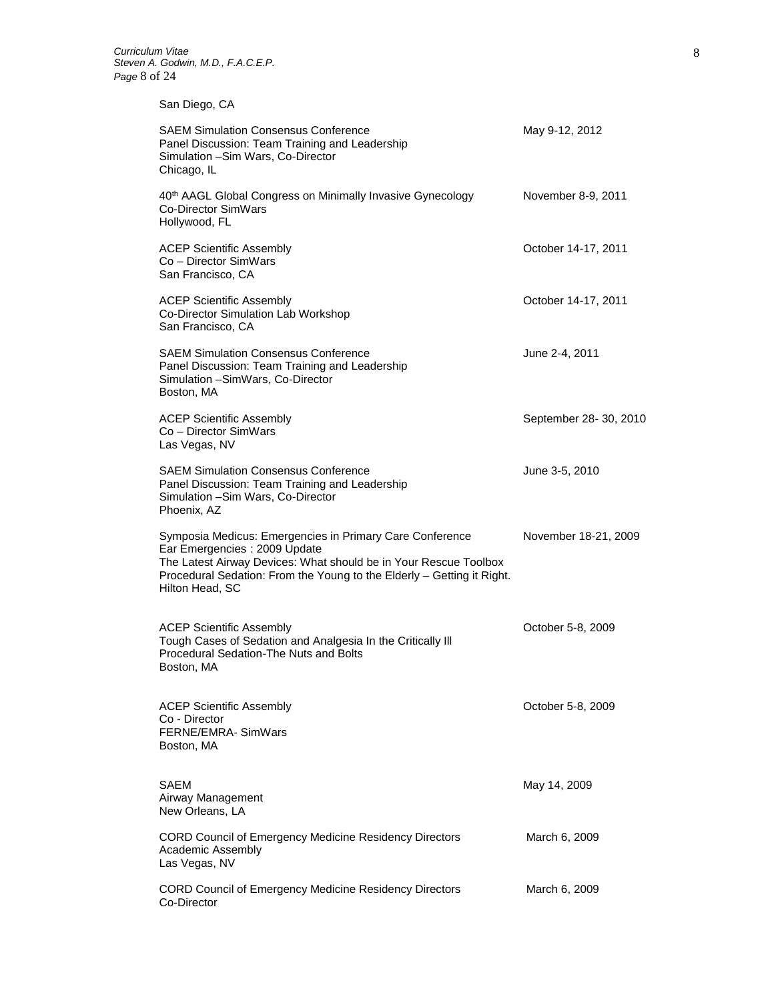## San Diego, CA

| <b>SAEM Simulation Consensus Conference</b><br>Panel Discussion: Team Training and Leadership<br>Simulation - Sim Wars, Co-Director<br>Chicago, IL                                                                                                         | May 9-12, 2012        |
|------------------------------------------------------------------------------------------------------------------------------------------------------------------------------------------------------------------------------------------------------------|-----------------------|
| 40th AAGL Global Congress on Minimally Invasive Gynecology<br>Co-Director SimWars<br>Hollywood, FL                                                                                                                                                         | November 8-9, 2011    |
| <b>ACEP Scientific Assembly</b><br>Co - Director SimWars<br>San Francisco, CA                                                                                                                                                                              | October 14-17, 2011   |
| <b>ACEP Scientific Assembly</b><br>Co-Director Simulation Lab Workshop<br>San Francisco, CA                                                                                                                                                                | October 14-17, 2011   |
| <b>SAEM Simulation Consensus Conference</b><br>Panel Discussion: Team Training and Leadership<br>Simulation - SimWars, Co-Director<br>Boston, MA                                                                                                           | June 2-4, 2011        |
| <b>ACEP Scientific Assembly</b><br>Co - Director SimWars<br>Las Vegas, NV                                                                                                                                                                                  | September 28-30, 2010 |
| <b>SAEM Simulation Consensus Conference</b><br>Panel Discussion: Team Training and Leadership<br>Simulation - Sim Wars, Co-Director<br>Phoenix, AZ                                                                                                         | June 3-5, 2010        |
| Symposia Medicus: Emergencies in Primary Care Conference<br>Ear Emergencies : 2009 Update<br>The Latest Airway Devices: What should be in Your Rescue Toolbox<br>Procedural Sedation: From the Young to the Elderly - Getting it Right.<br>Hilton Head, SC | November 18-21, 2009  |
| <b>ACEP Scientific Assembly</b><br>Tough Cases of Sedation and Analgesia In the Critically III<br>Procedural Sedation-The Nuts and Bolts<br>Boston, MA                                                                                                     | October 5-8, 2009     |
| <b>ACEP Scientific Assembly</b><br>Co - Director<br>FERNE/EMRA- SimWars<br>Boston, MA                                                                                                                                                                      | October 5-8, 2009     |
| SAEM<br>Airway Management<br>New Orleans, LA                                                                                                                                                                                                               | May 14, 2009          |
| <b>CORD Council of Emergency Medicine Residency Directors</b><br>Academic Assembly<br>Las Vegas, NV                                                                                                                                                        | March 6, 2009         |
| <b>CORD Council of Emergency Medicine Residency Directors</b><br>Co-Director                                                                                                                                                                               | March 6, 2009         |
|                                                                                                                                                                                                                                                            |                       |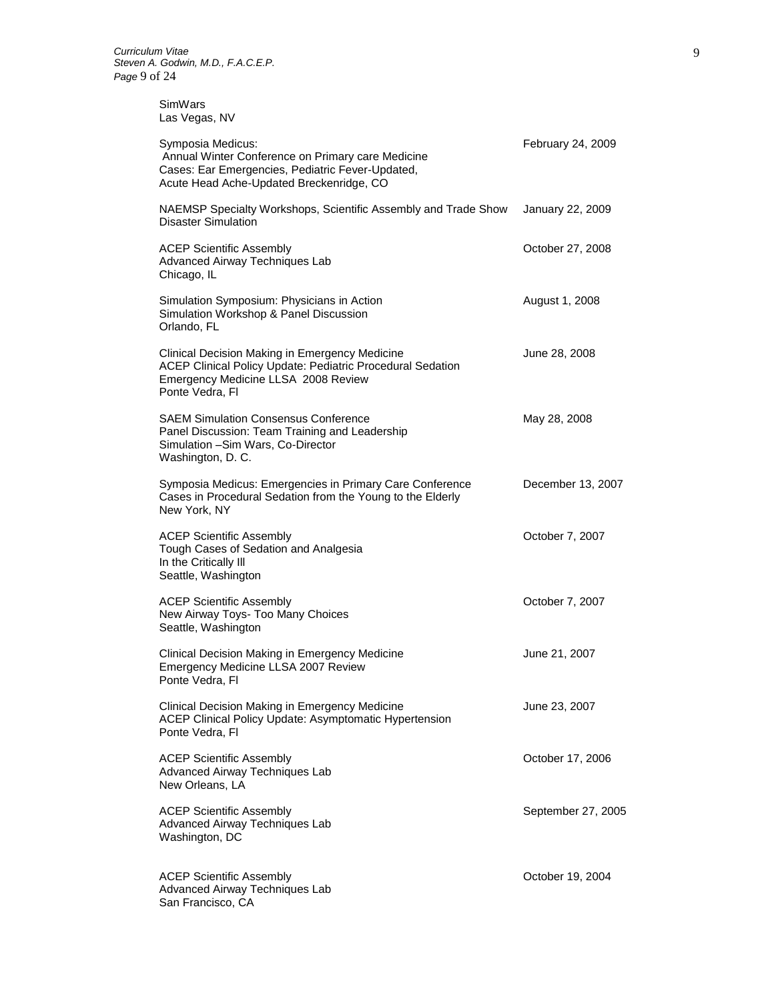SimWars Las Vegas, NV

| Symposia Medicus:<br>Annual Winter Conference on Primary care Medicine<br>Cases: Ear Emergencies, Pediatric Fever-Updated,<br>Acute Head Ache-Updated Breckenridge, CO | February 24, 2009  |
|------------------------------------------------------------------------------------------------------------------------------------------------------------------------|--------------------|
| NAEMSP Specialty Workshops, Scientific Assembly and Trade Show<br><b>Disaster Simulation</b>                                                                           | January 22, 2009   |
| <b>ACEP Scientific Assembly</b><br>Advanced Airway Techniques Lab<br>Chicago, IL                                                                                       | October 27, 2008   |
| Simulation Symposium: Physicians in Action<br>Simulation Workshop & Panel Discussion<br>Orlando, FL                                                                    | August 1, 2008     |
| Clinical Decision Making in Emergency Medicine<br>ACEP Clinical Policy Update: Pediatric Procedural Sedation<br>Emergency Medicine LLSA 2008 Review<br>Ponte Vedra, Fl | June 28, 2008      |
| <b>SAEM Simulation Consensus Conference</b><br>Panel Discussion: Team Training and Leadership<br>Simulation - Sim Wars, Co-Director<br>Washington, D. C.               | May 28, 2008       |
| Symposia Medicus: Emergencies in Primary Care Conference<br>Cases in Procedural Sedation from the Young to the Elderly<br>New York, NY                                 | December 13, 2007  |
| <b>ACEP Scientific Assembly</b><br>Tough Cases of Sedation and Analgesia<br>In the Critically III<br>Seattle, Washington                                               | October 7, 2007    |
| <b>ACEP Scientific Assembly</b><br>New Airway Toys- Too Many Choices<br>Seattle, Washington                                                                            | October 7, 2007    |
| Clinical Decision Making in Emergency Medicine<br>Emergency Medicine LLSA 2007 Review<br>Ponte Vedra, Fl                                                               | June 21, 2007      |
| Clinical Decision Making in Emergency Medicine<br><b>ACEP Clinical Policy Update: Asymptomatic Hypertension</b><br>Ponte Vedra, Fl                                     | June 23, 2007      |
| <b>ACEP Scientific Assembly</b><br>Advanced Airway Techniques Lab<br>New Orleans, LA                                                                                   | October 17, 2006   |
| <b>ACEP Scientific Assembly</b><br>Advanced Airway Techniques Lab<br>Washington, DC                                                                                    | September 27, 2005 |
| <b>ACEP Scientific Assembly</b><br>Advanced Airway Techniques Lab<br>San Francisco, CA                                                                                 | October 19, 2004   |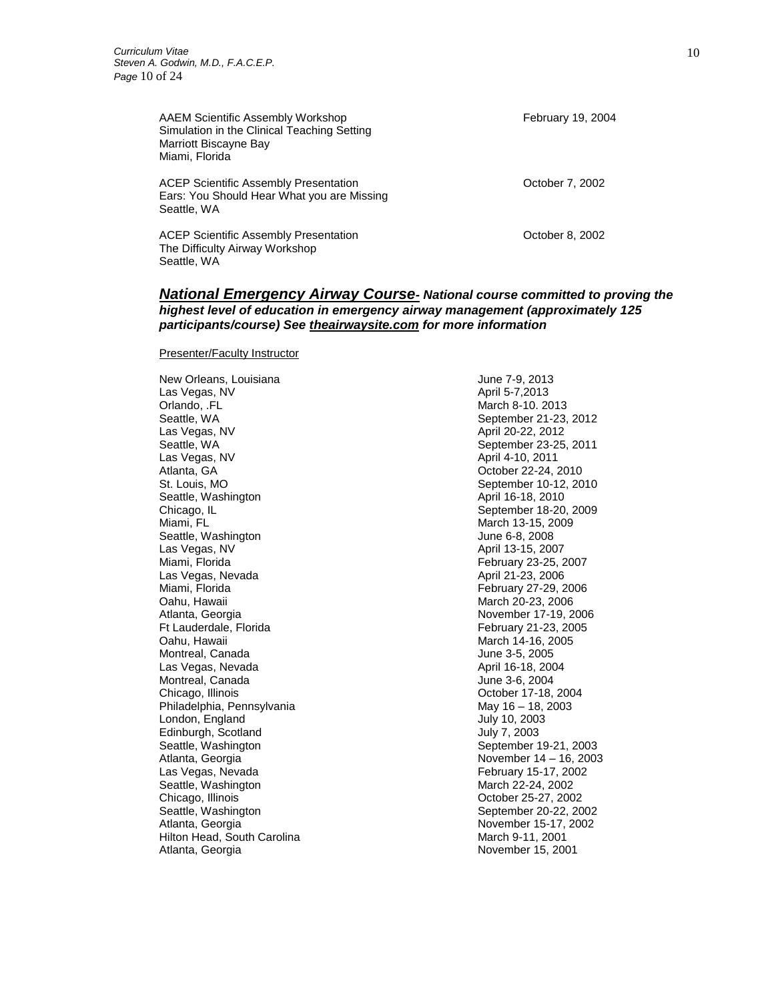AAEM Scientific Assembly Workshop **February 19, 2004** February 19, 2004 Simulation in the Clinical Teaching Setting Marriott Biscayne Bay Miami, Florida ACEP Scientific Assembly Presentation **ACEP** Scientific Assembly Presentation Ears: You Should Hear What you are Missing Seattle, WA

ACEP Scientific Assembly Presentation **Accept 10** October 8, 2002 The Difficulty Airway Workshop Seattle, WA

#### *National Emergency Airway Course- National course committed to proving the highest level of education in emergency airway management (approximately 125 participants/course) See theairwaysite.com for more information*

Presenter/Faculty Instructor

New Orleans, Louisiana June 7-9, 2013 Las Vegas, NV April 5-7,2013 Orlando, .FL March 8-10. 2013 Seattle, WA Seattle, WA September 21-23, 2012 Las Vegas, NV April 20-22, 2012 Seattle, WA Seattle, WA September 23-25, 2011 Las Vegas, NV April 4-10, 2011 Atlanta, GA Castro Controller Controller and Corp. 22-24, 2010 St. Louis, MO September 10-12, 2010 Seattle, Washington **April 16-18**, 2010 Chicago, IL September 18-20, 2009 Miami, FL **March 13-15, 2009** Seattle, Washington **Contract Contract Contract Contract Contract Contract Contract Contract Contract Contract Contract Contract Contract Contract Contract Contract Contract Contract Contract Contract Contract Contract Con** Las Vegas, NV April 13-15, 2007 Las Vegas, Nevada **April 21-23, 2006** Miami, Florida **February 27-29, 2006** Oahu, Hawaii March 20-23, 2006 Atlanta, Georgia **November 17-19, 2006** Ft Lauderdale, Florida February 21-23, 2005 Oahu, Hawaii March 14-16, 2005 Montreal, Canada June 3-5, 2005 Las Vegas, Nevada **April 16-18, 2004** Montreal, Canada **June 3-6, 2004** Chicago, Illinois Chicago, Illinois Chicago, Illinois Chicago, Illinois Chicago, Illinois Chicago, Illinois Chicago, Illinois Chicago, Illinois Chicago, Illinois Chicago, Illinois Chicago, Illinois Chicago, Illinois Chicag Philadelphia, Pennsylvania May 16 – 18, 2003 London, England July 10, 2003 Edinburgh, Scotland July 7, 2003 Seattle, Washington Seattle, Washington September 19-21, 2003 Atlanta, Georgia November 14 – 16, 2003 Las Vegas, Nevada February 15-17, 2002 Seattle, Washington March 22-24, 2002 Chicago, Illinois **Chicago, Illinois** Chicago, Illinois **October 25-27, 2002** Seattle, Washington September 20-22, 2002 Atlanta, Georgia November 15-17, 2002 Hilton Head, South Carolina March 9-11, 2001 Atlanta, Georgia November 15, 2001

February 23-25, 2007

10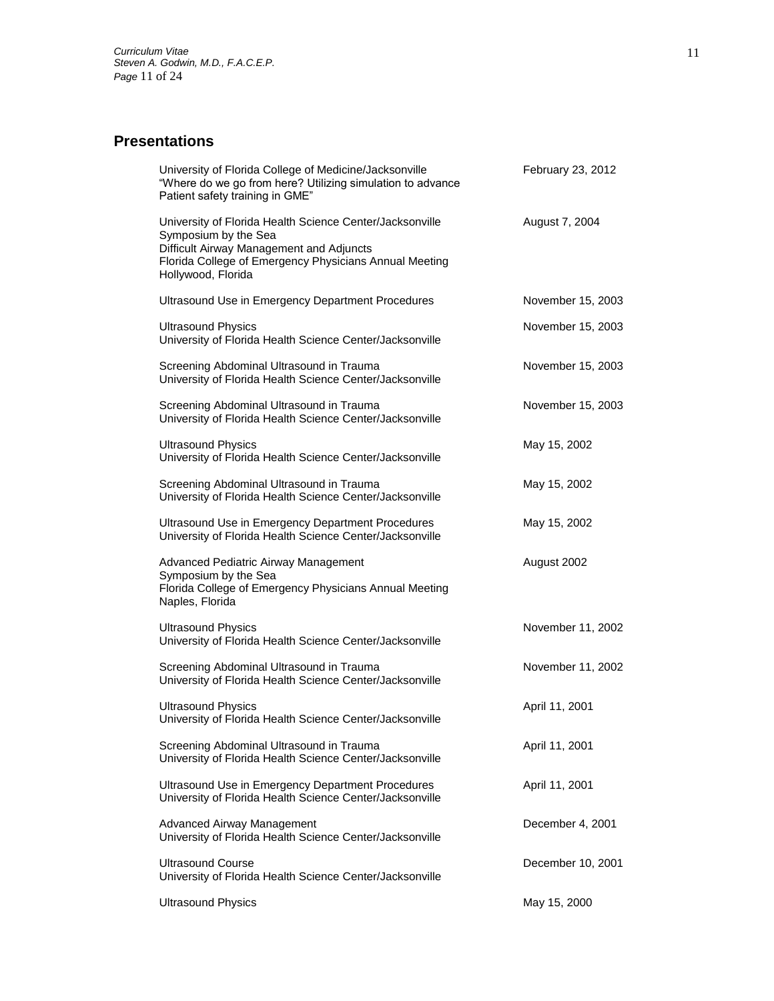# **Presentations**

| University of Florida College of Medicine/Jacksonville<br>"Where do we go from here? Utilizing simulation to advance<br>Patient safety training in GME"                                                      | February 23, 2012 |
|--------------------------------------------------------------------------------------------------------------------------------------------------------------------------------------------------------------|-------------------|
| University of Florida Health Science Center/Jacksonville<br>Symposium by the Sea<br>Difficult Airway Management and Adjuncts<br>Florida College of Emergency Physicians Annual Meeting<br>Hollywood, Florida | August 7, 2004    |
| Ultrasound Use in Emergency Department Procedures                                                                                                                                                            | November 15, 2003 |
| <b>Ultrasound Physics</b><br>University of Florida Health Science Center/Jacksonville                                                                                                                        | November 15, 2003 |
| Screening Abdominal Ultrasound in Trauma<br>University of Florida Health Science Center/Jacksonville                                                                                                         | November 15, 2003 |
| Screening Abdominal Ultrasound in Trauma<br>University of Florida Health Science Center/Jacksonville                                                                                                         | November 15, 2003 |
| <b>Ultrasound Physics</b><br>University of Florida Health Science Center/Jacksonville                                                                                                                        | May 15, 2002      |
| Screening Abdominal Ultrasound in Trauma<br>University of Florida Health Science Center/Jacksonville                                                                                                         | May 15, 2002      |
| Ultrasound Use in Emergency Department Procedures<br>University of Florida Health Science Center/Jacksonville                                                                                                | May 15, 2002      |
| Advanced Pediatric Airway Management<br>Symposium by the Sea<br>Florida College of Emergency Physicians Annual Meeting<br>Naples, Florida                                                                    | August 2002       |
| <b>Ultrasound Physics</b><br>University of Florida Health Science Center/Jacksonville                                                                                                                        | November 11, 2002 |
| Screening Abdominal Ultrasound in Trauma<br>University of Florida Health Science Center/Jacksonville                                                                                                         | November 11, 2002 |
| <b>Ultrasound Physics</b><br>University of Florida Health Science Center/Jacksonville                                                                                                                        | April 11, 2001    |
| Screening Abdominal Ultrasound in Trauma<br>University of Florida Health Science Center/Jacksonville                                                                                                         | April 11, 2001    |
| Ultrasound Use in Emergency Department Procedures<br>University of Florida Health Science Center/Jacksonville                                                                                                | April 11, 2001    |
| <b>Advanced Airway Management</b><br>University of Florida Health Science Center/Jacksonville                                                                                                                | December 4, 2001  |
| <b>Ultrasound Course</b><br>University of Florida Health Science Center/Jacksonville                                                                                                                         | December 10, 2001 |
| <b>Ultrasound Physics</b>                                                                                                                                                                                    | May 15, 2000      |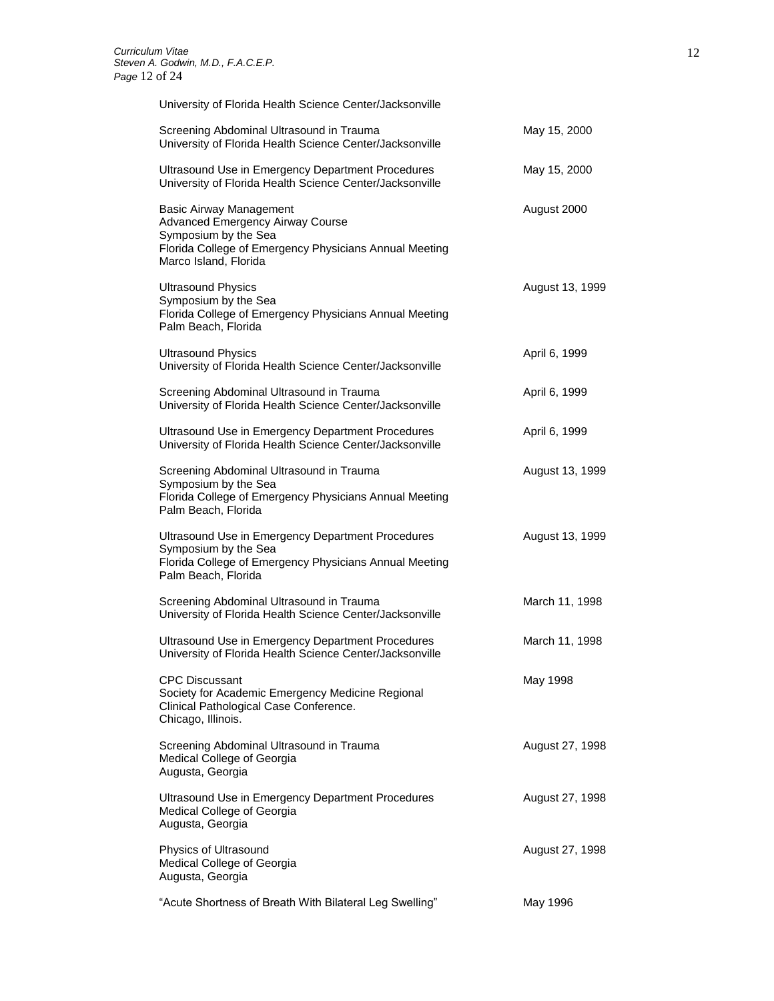University of Florida Health Science Center/Jacksonville

| Screening Abdominal Ultrasound in Trauma<br>University of Florida Health Science Center/Jacksonville                                                                          | May 15, 2000    |
|-------------------------------------------------------------------------------------------------------------------------------------------------------------------------------|-----------------|
| Ultrasound Use in Emergency Department Procedures<br>University of Florida Health Science Center/Jacksonville                                                                 | May 15, 2000    |
| <b>Basic Airway Management</b><br>Advanced Emergency Airway Course<br>Symposium by the Sea<br>Florida College of Emergency Physicians Annual Meeting<br>Marco Island, Florida | August 2000     |
| <b>Ultrasound Physics</b><br>Symposium by the Sea<br>Florida College of Emergency Physicians Annual Meeting<br>Palm Beach, Florida                                            | August 13, 1999 |
| <b>Ultrasound Physics</b><br>University of Florida Health Science Center/Jacksonville                                                                                         | April 6, 1999   |
| Screening Abdominal Ultrasound in Trauma<br>University of Florida Health Science Center/Jacksonville                                                                          | April 6, 1999   |
| Ultrasound Use in Emergency Department Procedures<br>University of Florida Health Science Center/Jacksonville                                                                 | April 6, 1999   |
| Screening Abdominal Ultrasound in Trauma<br>Symposium by the Sea<br>Florida College of Emergency Physicians Annual Meeting<br>Palm Beach, Florida                             | August 13, 1999 |
| Ultrasound Use in Emergency Department Procedures<br>Symposium by the Sea<br>Florida College of Emergency Physicians Annual Meeting<br>Palm Beach, Florida                    | August 13, 1999 |
| Screening Abdominal Ultrasound in Trauma<br>University of Florida Health Science Center/Jacksonville                                                                          | March 11, 1998  |
| Ultrasound Use in Emergency Department Procedures<br>University of Florida Health Science Center/Jacksonville                                                                 | March 11, 1998  |
| <b>CPC Discussant</b><br>Society for Academic Emergency Medicine Regional<br>Clinical Pathological Case Conference.<br>Chicago, Illinois.                                     | May 1998        |
| Screening Abdominal Ultrasound in Trauma<br>Medical College of Georgia<br>Augusta, Georgia                                                                                    | August 27, 1998 |
| Ultrasound Use in Emergency Department Procedures<br>Medical College of Georgia<br>Augusta, Georgia                                                                           | August 27, 1998 |
| Physics of Ultrasound<br>Medical College of Georgia<br>Augusta, Georgia                                                                                                       | August 27, 1998 |
| "Acute Shortness of Breath With Bilateral Leg Swelling"                                                                                                                       | May 1996        |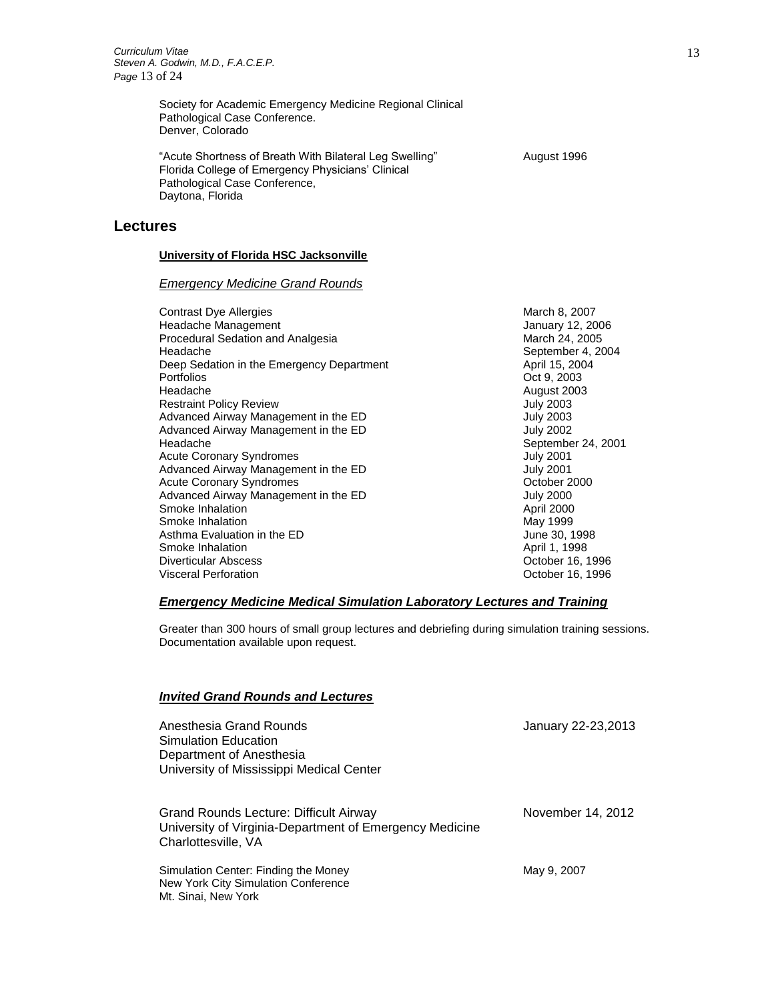Society for Academic Emergency Medicine Regional Clinical Pathological Case Conference. Denver, Colorado

"Acute Shortness of Breath With Bilateral Leg Swelling" August 1996 Florida College of Emergency Physicians' Clinical Pathological Case Conference, Daytona, Florida

#### **Lectures**

#### **University of Florida HSC Jacksonville**

#### *Emergency Medicine Grand Rounds*

Contrast Dye Allergies **March 8, 2007** March 8, 2007 Headache Management **Internal and American** January 12, 2006 Procedural Sedation and Analgesia March 24, 2005 Headache **September 4, 2004**<br>
Deep Sedation in the Emergency Department **September 4, 2004**<br>
April 15, 2004 Deep Sedation in the Emergency Department<br>Portfolios Headache August 2003 Restraint Policy Review **July 2003** Advanced Airway Management in the ED 3003<br>Advanced Airway Management in the ED 3002 Advanced Airway Management in the ED Headache September 24, 2001 Acute Coronary Syndromes **Acute Coronary Syndromes July 2001** Advanced Airway Management in the ED<br>
Acute Coronary Syndromes<br>
October 2000 Acute Coronary Syndromes<br>
Advanced Airway Management in the ED<br>
July 2000 Advanced Airway Management in the ED July 2000<br>Smoke Inhalation 3000<br>April 2000 Smoke Inhalation **Contract Contract Contract Contract Contract Contract Contract Contract Contract Contract Contract Contract Contract Contract Contract Contract Contract Contract Contract Contract Contract Contract Contra** Smoke Inhalation<br>
Smoke Inhalation in the ED<br>
Asthma Evaluation in the ED<br>
May 1998 Asthma Evaluation in the ED Smoke Inhalation **April 1, 1998** Diverticular Abscess **October 16, 1996** Visceral Perforation October 16, 1996

Oct 9, 2003

#### *Emergency Medicine Medical Simulation Laboratory Lectures and Training*

Greater than 300 hours of small group lectures and debriefing during simulation training sessions. Documentation available upon request.

#### *Invited Grand Rounds and Lectures*

| Anesthesia Grand Rounds<br>Simulation Education<br>Department of Anesthesia<br>University of Mississippi Medical Center         | January 22-23,2013 |
|---------------------------------------------------------------------------------------------------------------------------------|--------------------|
| <b>Grand Rounds Lecture: Difficult Airway</b><br>University of Virginia-Department of Emergency Medicine<br>Charlottesville, VA | November 14, 2012  |
| Simulation Center: Finding the Money<br>New York City Simulation Conference<br>Mt. Sinai, New York                              | May 9, 2007        |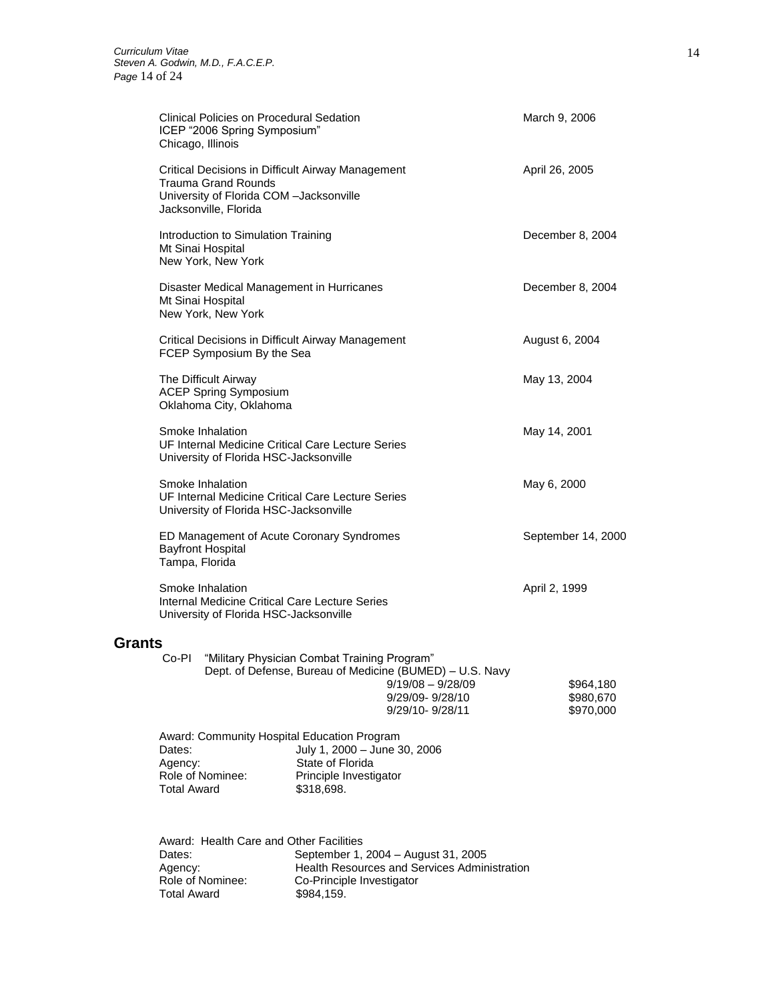**Total Award** 

|               | Clinical Policies on Procedural Sedation<br>ICEP "2006 Spring Symposium"<br>Chicago, Illinois                                                |                                                                                                                                                                       | March 9, 2006                       |
|---------------|----------------------------------------------------------------------------------------------------------------------------------------------|-----------------------------------------------------------------------------------------------------------------------------------------------------------------------|-------------------------------------|
|               | Critical Decisions in Difficult Airway Management<br>Trauma Grand Rounds<br>University of Florida COM -Jacksonville<br>Jacksonville, Florida |                                                                                                                                                                       | April 26, 2005                      |
|               | Introduction to Simulation Training<br>Mt Sinai Hospital<br>New York, New York                                                               |                                                                                                                                                                       | December 8, 2004                    |
|               | Disaster Medical Management in Hurricanes<br>Mt Sinai Hospital<br>New York, New York                                                         |                                                                                                                                                                       | December 8, 2004                    |
|               | Critical Decisions in Difficult Airway Management<br>FCEP Symposium By the Sea                                                               |                                                                                                                                                                       | August 6, 2004                      |
|               | The Difficult Airway<br><b>ACEP Spring Symposium</b><br>Oklahoma City, Oklahoma                                                              |                                                                                                                                                                       | May 13, 2004                        |
|               | Smoke Inhalation<br>UF Internal Medicine Critical Care Lecture Series<br>University of Florida HSC-Jacksonville                              |                                                                                                                                                                       | May 14, 2001                        |
|               | Smoke Inhalation<br>UF Internal Medicine Critical Care Lecture Series<br>University of Florida HSC-Jacksonville                              |                                                                                                                                                                       | May 6, 2000                         |
|               | ED Management of Acute Coronary Syndromes<br><b>Bayfront Hospital</b><br>Tampa, Florida                                                      |                                                                                                                                                                       | September 14, 2000                  |
|               | Smoke Inhalation<br>Internal Medicine Critical Care Lecture Series<br>University of Florida HSC-Jacksonville                                 |                                                                                                                                                                       | April 2, 1999                       |
| <b>Grants</b> |                                                                                                                                              |                                                                                                                                                                       |                                     |
|               | Co-Pl                                                                                                                                        | "Military Physician Combat Training Program"<br>Dept. of Defense, Bureau of Medicine (BUMED) - U.S. Navy<br>$9/19/08 - 9/28/09$<br>9/29/09-9/28/10<br>9/29/10-9/28/11 | \$964,180<br>\$980,670<br>\$970,000 |
|               | Award: Community Hospital Education Program<br>Dates:<br>Agency:<br>Role of Nominee:<br><b>Total Award</b>                                   | July 1, 2000 - June 30, 2006<br>State of Florida<br>Principle Investigator<br>\$318,698.                                                                              |                                     |
|               | Award: Health Care and Other Facilities<br>Dates:                                                                                            | September 1, 2004 - August 31, 2005                                                                                                                                   |                                     |

Agency: Health Resources and Services Administration Dates: September 1, 2004 – Aug<br>
Agency: Health Resources and Se<br>
Role of Nominee: Co-Principle Investigator<br>
Total Award \$984,159.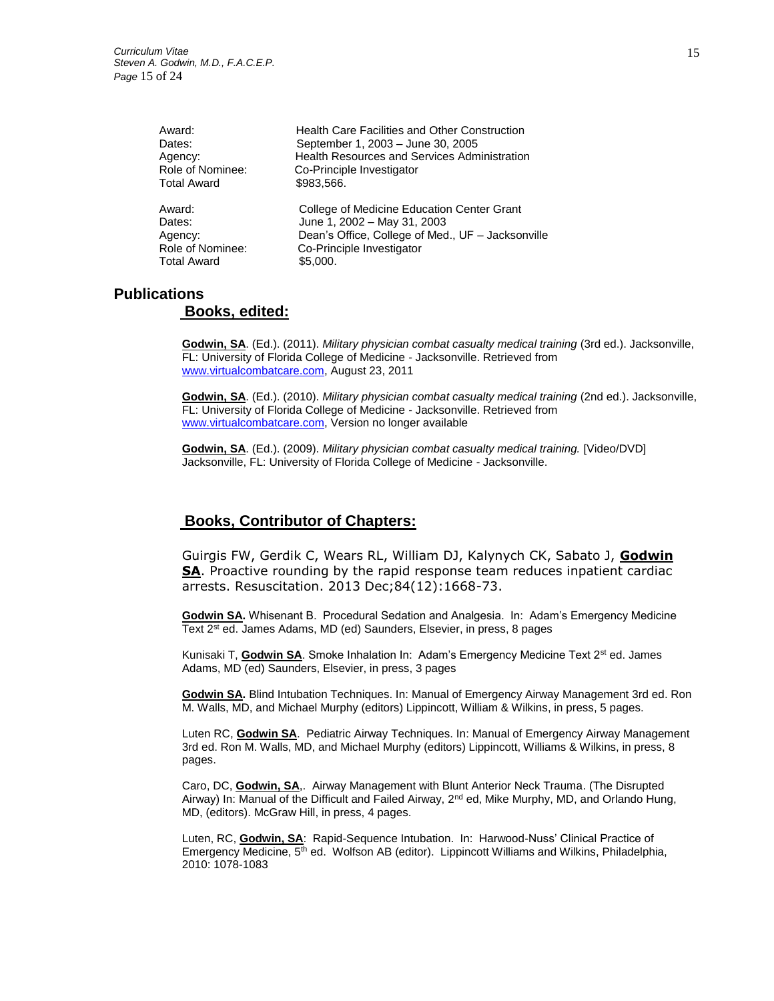| Award:                                 | <b>Health Care Facilities and Other Construction</b>                                                                           |
|----------------------------------------|--------------------------------------------------------------------------------------------------------------------------------|
| Dates:                                 | September 1, 2003 - June 30, 2005                                                                                              |
| Agency:                                | <b>Health Resources and Services Administration</b>                                                                            |
| Role of Nominee:                       | Co-Principle Investigator                                                                                                      |
| <b>Total Award</b>                     | \$983.566.                                                                                                                     |
| Award:<br>Dates:<br>Agency:            | College of Medicine Education Center Grant<br>June 1, 2002 - May 31, 2003<br>Dean's Office, College of Med., UF - Jacksonville |
| Role of Nominee:<br><b>Total Award</b> | Co-Principle Investigator<br>\$5,000.                                                                                          |

## **Publications**

## **Books, edited:**

**Godwin, SA**. (Ed.). (2011). *Military physician combat casualty medical training* (3rd ed.). Jacksonville, FL: University of Florida College of Medicine - Jacksonville. Retrieved from [www.virtualcombatcare.com,](http://www.virtualcombatcare.com/) August 23, 2011

**Godwin, SA**. (Ed.). (2010). *Military physician combat casualty medical training* (2nd ed.). Jacksonville, FL: University of Florida College of Medicine - Jacksonville. Retrieved from [www.virtualcombatcare.com,](http://www.virtualcombatcare.com/) Version no longer available

**Godwin, SA**. (Ed.). (2009). *Military physician combat casualty medical training.* [Video/DVD] Jacksonville, FL: University of Florida College of Medicine - Jacksonville.

## **Books, Contributor of Chapters:**

Guirgis FW, Gerdik C, Wears RL, William DJ, Kalynych CK, Sabato J, **Godwin SA**. Proactive rounding by the rapid response team reduces inpatient cardiac arrests. Resuscitation. 2013 Dec;84(12):1668-73.

**Godwin SA.** Whisenant B. Procedural Sedation and Analgesia. In: Adam's Emergency Medicine Text 2<sup>st</sup> ed. James Adams, MD (ed) Saunders, Elsevier, in press, 8 pages

Kunisaki T, Godwin SA. Smoke Inhalation In: Adam's Emergency Medicine Text 2<sup>st</sup> ed. James Adams, MD (ed) Saunders, Elsevier, in press, 3 pages

**Godwin SA.** Blind Intubation Techniques. In: Manual of Emergency Airway Management 3rd ed. Ron M. Walls, MD, and Michael Murphy (editors) Lippincott, William & Wilkins, in press, 5 pages.

Luten RC, **Godwin SA**. Pediatric Airway Techniques. In: Manual of Emergency Airway Management 3rd ed. Ron M. Walls, MD, and Michael Murphy (editors) Lippincott, Williams & Wilkins, in press, 8 pages.

Caro, DC, **Godwin, SA**,. Airway Management with Blunt Anterior Neck Trauma. (The Disrupted Airway) In: Manual of the Difficult and Failed Airway, 2nd ed, Mike Murphy, MD, and Orlando Hung, MD, (editors). McGraw Hill, in press, 4 pages.

Luten, RC, **Godwin, SA**: Rapid-Sequence Intubation. In: Harwood-Nuss' Clinical Practice of Emergency Medicine, 5<sup>th</sup> ed. Wolfson AB (editor). Lippincott Williams and Wilkins, Philadelphia, 2010: 1078-1083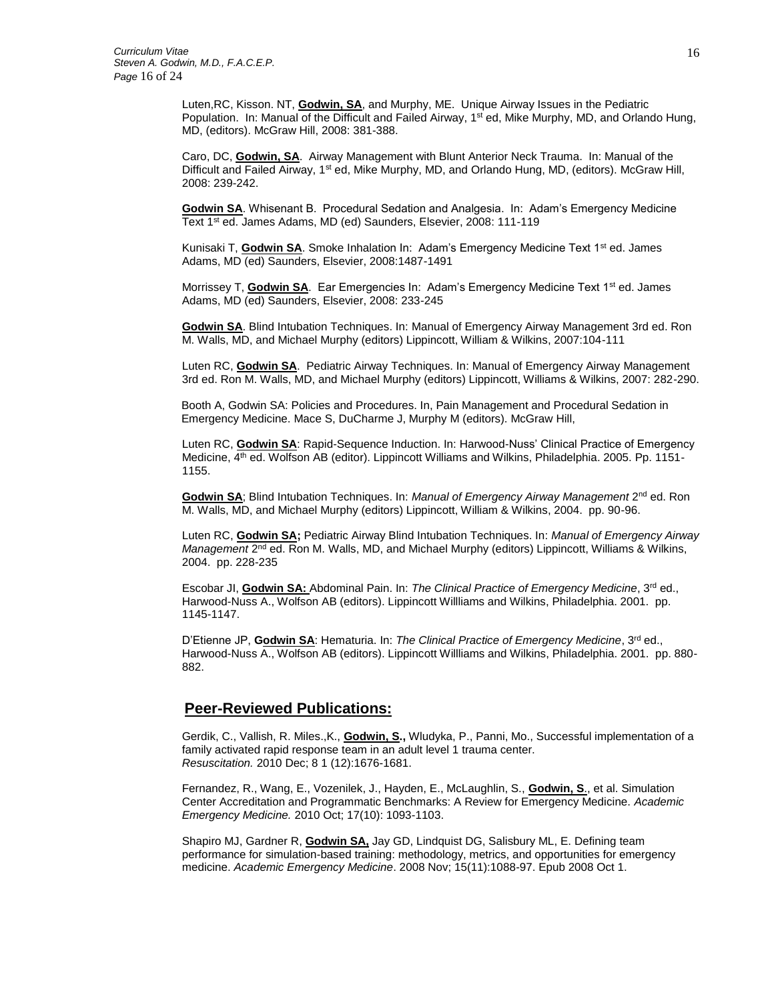Luten,RC, Kisson. NT, **Godwin, SA**, and Murphy, ME. Unique Airway Issues in the Pediatric Population. In: Manual of the Difficult and Failed Airway,  $1<sup>st</sup>$  ed, Mike Murphy, MD, and Orlando Hung, MD, (editors). McGraw Hill, 2008: 381-388.

Caro, DC, **Godwin, SA**. Airway Management with Blunt Anterior Neck Trauma. In: Manual of the Difficult and Failed Airway, 1<sup>st</sup> ed, Mike Murphy, MD, and Orlando Hung, MD, (editors). McGraw Hill, 2008: 239-242.

**Godwin SA**. Whisenant B. Procedural Sedation and Analgesia. In: Adam's Emergency Medicine Text 1<sup>st</sup> ed. James Adams, MD (ed) Saunders, Elsevier, 2008: 111-119

Kunisaki T, **Godwin SA**. Smoke Inhalation In: Adam's Emergency Medicine Text 1<sup>st</sup> ed. James Adams, MD (ed) Saunders, Elsevier, 2008:1487-1491

Morrissey T, Godwin SA. Ear Emergencies In: Adam's Emergency Medicine Text 1<sup>st</sup> ed. James Adams, MD (ed) Saunders, Elsevier, 2008: 233-245

**Godwin SA**. Blind Intubation Techniques. In: Manual of Emergency Airway Management 3rd ed. Ron M. Walls, MD, and Michael Murphy (editors) Lippincott, William & Wilkins, 2007:104-111

Luten RC, **Godwin SA**. Pediatric Airway Techniques. In: Manual of Emergency Airway Management 3rd ed. Ron M. Walls, MD, and Michael Murphy (editors) Lippincott, Williams & Wilkins, 2007: 282-290.

 Booth A, Godwin SA: Policies and Procedures. In, Pain Management and Procedural Sedation in Emergency Medicine. Mace S, DuCharme J, Murphy M (editors). McGraw Hill,

Luten RC, **Godwin SA**: Rapid-Sequence Induction. In: Harwood-Nuss' Clinical Practice of Emergency Medicine, 4<sup>th</sup> ed. Wolfson AB (editor). Lippincott Williams and Wilkins, Philadelphia. 2005. Pp. 1151-1155.

**Godwin SA**; Blind Intubation Techniques. In: *Manual of Emergency Airway Management* 2<sup>nd</sup> ed. Ron M. Walls, MD, and Michael Murphy (editors) Lippincott, William & Wilkins, 2004. pp. 90-96.

Luten RC, **Godwin SA;** Pediatric Airway Blind Intubation Techniques. In: *Manual of Emergency Airway*  Management 2<sup>nd</sup> ed. Ron M. Walls, MD, and Michael Murphy (editors) Lippincott, Williams & Wilkins, 2004. pp. 228-235

Escobar JI, **Godwin SA:** Abdominal Pain. In: *The Clinical Practice of Emergency Medicine*, 3rd ed., Harwood-Nuss A., Wolfson AB (editors). Lippincott Willliams and Wilkins, Philadelphia. 2001. pp. 1145-1147.

D'Etienne JP, Godwin SA: Hematuria. In: The Clinical Practice of Emergency Medicine, 3<sup>rd</sup> ed., Harwood-Nuss A., Wolfson AB (editors). Lippincott Willliams and Wilkins, Philadelphia. 2001. pp. 880- 882.

## **Peer-Reviewed Publications:**

Gerdik, C., Vallish, R. Miles.,K., **Godwin, S.,** Wludyka, P., Panni, Mo., Successful implementation of a family activated rapid response team in an adult level 1 trauma center. *Resuscitation.* 2010 Dec; 8 1 (12):1676-1681.

Fernandez, R., Wang, E., Vozenilek, J., Hayden, E., McLaughlin, S., **Godwin, S**., et al. Simulation Center Accreditation and Programmatic Benchmarks: A Review for Emergency Medicine. *Academic Emergency Medicine.* 2010 Oct; 17(10): 1093-1103.

[Shapiro MJ,](http://www.ncbi.nlm.nih.gov/sites/entrez?Db=pubmed&Cmd=Search&Term=%22Shapiro%20MJ%22%5BAuthor%5D&itool=EntrezSystem2.PEntrez.Pubmed.Pubmed_ResultsPanel.Pubmed_DiscoveryPanel.Pubmed_RVAbstractPlus) [Gardner R,](http://www.ncbi.nlm.nih.gov/sites/entrez?Db=pubmed&Cmd=Search&Term=%22Gardner%20R%22%5BAuthor%5D&itool=EntrezSystem2.PEntrez.Pubmed.Pubmed_ResultsPanel.Pubmed_DiscoveryPanel.Pubmed_RVAbstractPlus) **[Godwin SA,](http://www.ncbi.nlm.nih.gov/sites/entrez?Db=pubmed&Cmd=Search&Term=%22Godwin%20SA%22%5BAuthor%5D&itool=EntrezSystem2.PEntrez.Pubmed.Pubmed_ResultsPanel.Pubmed_DiscoveryPanel.Pubmed_RVAbstractPlus)** [Jay GD,](http://www.ncbi.nlm.nih.gov/sites/entrez?Db=pubmed&Cmd=Search&Term=%22Jay%20GD%22%5BAuthor%5D&itool=EntrezSystem2.PEntrez.Pubmed.Pubmed_ResultsPanel.Pubmed_DiscoveryPanel.Pubmed_RVAbstractPlus) [Lindquist DG,](http://www.ncbi.nlm.nih.gov/sites/entrez?Db=pubmed&Cmd=Search&Term=%22Lindquist%20DG%22%5BAuthor%5D&itool=EntrezSystem2.PEntrez.Pubmed.Pubmed_ResultsPanel.Pubmed_DiscoveryPanel.Pubmed_RVAbstractPlus) [Salisbury ML,](http://www.ncbi.nlm.nih.gov/sites/entrez?Db=pubmed&Cmd=Search&Term=%22Salisbury%20ML%22%5BAuthor%5D&itool=EntrezSystem2.PEntrez.Pubmed.Pubmed_ResultsPanel.Pubmed_DiscoveryPanel.Pubmed_RVAbstractPlus) E. Defining team performance for simulation-based training: methodology, metrics, and opportunities for emergency medicine. *Academic Emergency Medicine*. 2008 Nov; 15(11):1088-97. Epub 2008 Oct 1.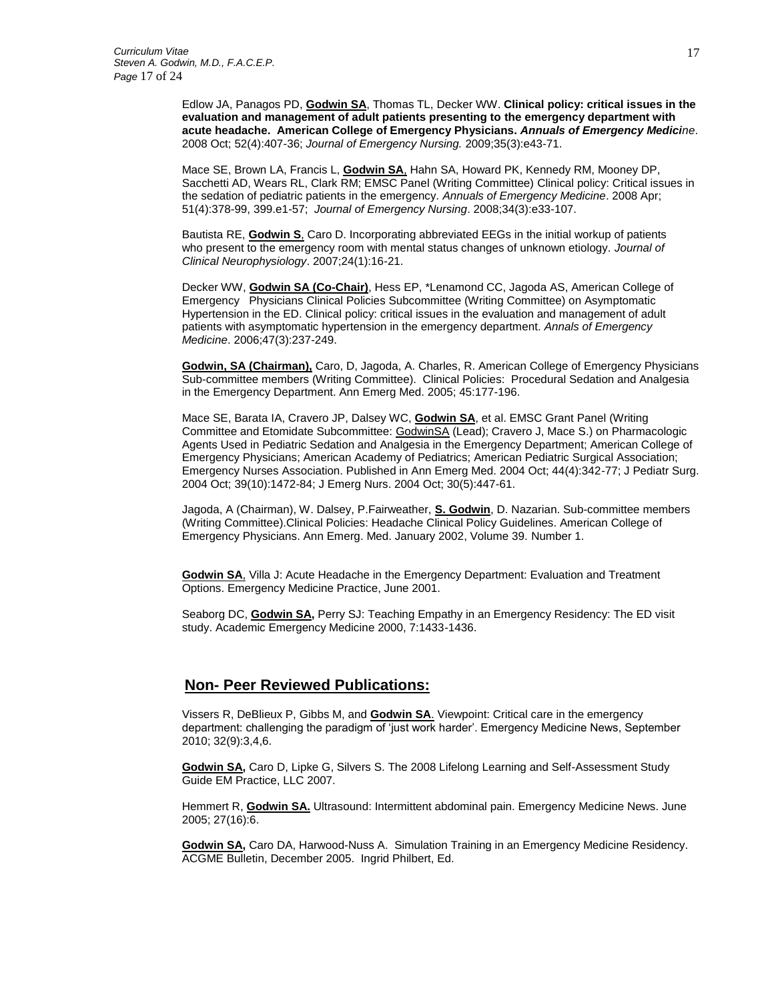Edlow JA, Panagos PD, **Godwin SA**, Thomas TL, Decker WW. **[Clinical policy: critical issues in the](http://www.ncbi.nlm.nih.gov/pubmed/18809105?ordinalpos=16&itool=EntrezSystem2.PEntrez.Pubmed.Pubmed_ResultsPanel.Pubmed_DefaultReportPanel.Pubmed_RVDocSum)  [evaluation and management of adult patients presenting to the emergency department with](http://www.ncbi.nlm.nih.gov/pubmed/18809105?ordinalpos=16&itool=EntrezSystem2.PEntrez.Pubmed.Pubmed_ResultsPanel.Pubmed_DefaultReportPanel.Pubmed_RVDocSum)  [acute headache.](http://www.ncbi.nlm.nih.gov/pubmed/18809105?ordinalpos=16&itool=EntrezSystem2.PEntrez.Pubmed.Pubmed_ResultsPanel.Pubmed_DefaultReportPanel.Pubmed_RVDocSum) American College of Emergency Physicians.** *Annuals of Emergency Medicine*. 2008 Oct; 52(4):407-36; *Journal of Emergency Nursing.* 2009;35(3):e43-71.

Mace SE, Brown LA, Francis L, **Godwin SA**, Hahn SA, Howard PK, Kennedy RM, Mooney DP, Sacchetti AD, Wears RL, Clark RM; EMSC Panel (Writing Committee) [Clinical policy: Critical issues in](http://www.ncbi.nlm.nih.gov/pubmed/18359378?ordinalpos=32&itool=EntrezSystem2.PEntrez.Pubmed.Pubmed_ResultsPanel.Pubmed_DefaultReportPanel.Pubmed_RVDocSum)  [the sedation of pediatric patients in the emergency.](http://www.ncbi.nlm.nih.gov/pubmed/18359378?ordinalpos=32&itool=EntrezSystem2.PEntrez.Pubmed.Pubmed_ResultsPanel.Pubmed_DefaultReportPanel.Pubmed_RVDocSum) *Annuals of Emergency Medicine*. 2008 Apr; 51(4):378-99, 399.e1-57; *Journal of Emergency Nursing*. 2008;34(3):e33-107.

Bautista RE, **Godwin S**, Caro D. Incorporating abbreviated EEGs in the initial workup of patients who present to the emergency room with mental status changes of unknown etiology. *Journal of Clinical Neurophysiology*. 2007;24(1):16-21.

Decker WW, **Godwin SA (Co-Chair)**, Hess EP, \*Lenamond CC, Jagoda AS, American College of Emergency Physicians Clinical Policies Subcommittee (Writing Committee) on Asymptomatic Hypertension in the ED. Clinical policy: critical issues in the evaluation and management of adult patients with asymptomatic hypertension in the emergency department. *Annals of Emergency Medicine*. 2006;47(3):237-249.

**Godwin, SA (Chairman),** Caro, D, Jagoda, A. Charles, R. American College of Emergency Physicians Sub-committee members (Writing Committee). Clinical Policies: Procedural Sedation and Analgesia in the Emergency Department. Ann Emerg Med. 2005; 45:177-196.

Mace SE, Barata IA, Cravero JP, Dalsey WC, **Godwin SA**, et al. EMSC Grant Panel (Writing Committee and Etomidate Subcommittee: GodwinSA (Lead); Cravero J, Mace S.) on Pharmacologic Agents Used in Pediatric Sedation and Analgesia in the Emergency Department; American College of Emergency Physicians; American Academy of Pediatrics; American Pediatric Surgical Association; Emergency Nurses Association. Published in Ann Emerg Med. 2004 Oct; 44(4):342-77; J Pediatr Surg. 2004 Oct; 39(10):1472-84; J Emerg Nurs. 2004 Oct; 30(5):447-61.

Jagoda, A (Chairman), W. Dalsey, P.Fairweather, **S. Godwin**, D. Nazarian. Sub-committee members (Writing Committee).Clinical Policies: Headache Clinical Policy Guidelines. American College of Emergency Physicians. Ann Emerg. Med. January 2002, Volume 39. Number 1.

**Godwin SA**, Villa J: Acute Headache in the Emergency Department: Evaluation and Treatment Options. Emergency Medicine Practice, June 2001.

Seaborg DC, **Godwin SA,** Perry SJ: Teaching Empathy in an Emergency Residency: The ED visit study. Academic Emergency Medicine 2000, 7:1433-1436.

## **Non- Peer Reviewed Publications:**

Vissers R, DeBlieux P, Gibbs M, and **Godwin SA**. Viewpoint: Critical care in the emergency department: challenging the paradigm of 'just work harder'. Emergency Medicine News, September 2010; 32(9):3,4,6.

**Godwin SA,** Caro D, Lipke G, Silvers S. The 2008 Lifelong Learning and Self-Assessment Study Guide EM Practice, LLC 2007.

Hemmert R, **Godwin SA.** Ultrasound: Intermittent abdominal pain. Emergency Medicine News. June 2005; 27(16):6.

**Godwin SA,** Caro DA, Harwood-Nuss A. Simulation Training in an Emergency Medicine Residency. ACGME Bulletin, December 2005. Ingrid Philbert, Ed.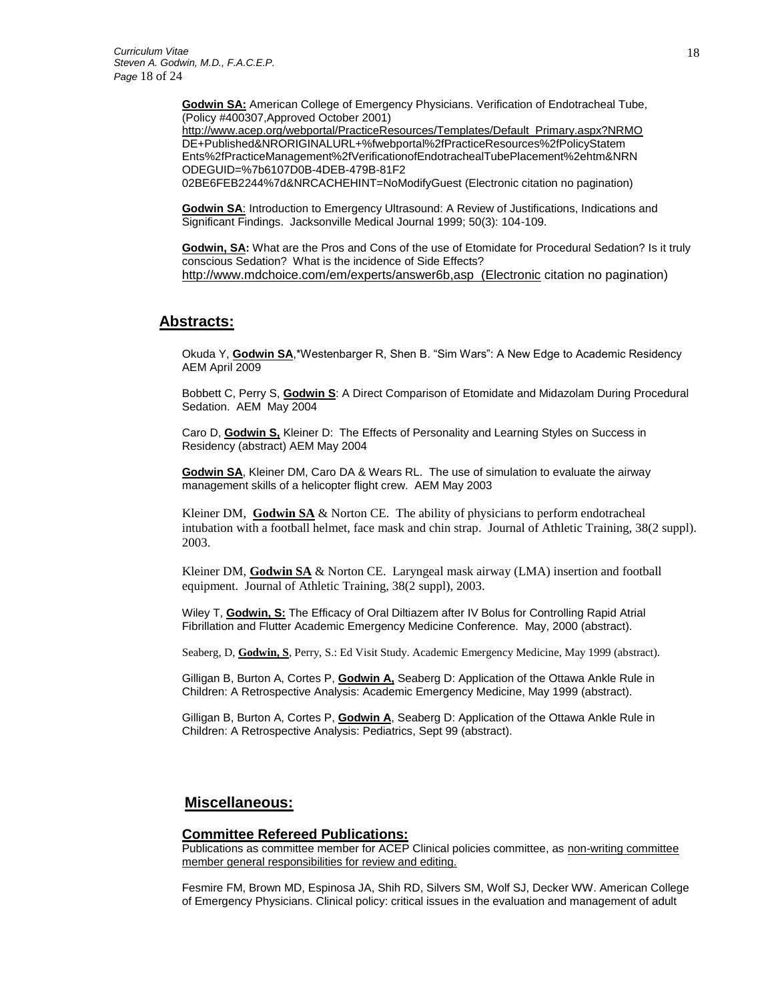**Godwin SA:** American College of Emergency Physicians. Verification of Endotracheal Tube, (Policy #400307,Approved October 2001)

[http://www.acep.org/webportal/PracticeResources/Templates/Default\\_Primary.aspx?NRMO](http://www.acep.org/webportal/PracticeResources/Templates/Default_Primary.aspx?NRMO) DE+Published&NRORIGINALURL+%fwebportal%2fPracticeResources%2fPolicyStatem Ents%2fPracticeManagement%2fVerificationofEndotrachealTubePlacement%2ehtm&NRN ODEGUID=%7b6107D0B-4DEB-479B-81F2

02BE6FEB2244%7d&NRCACHEHINT=NoModifyGuest (Electronic citation no pagination)

**Godwin SA**: Introduction to Emergency Ultrasound: A Review of Justifications, Indications and Significant Findings. Jacksonville Medical Journal 1999; 50(3): 104-109.

**Godwin, SA:** What are the Pros and Cons of the use of Etomidate for Procedural Sedation? Is it truly conscious Sedation? What is the incidence of Side Effects? [http://www.mdchoice.com/em/experts/answer6b,asp \(Electronic](http://www.mdchoice.com/em/experts/answer6b,asp%20%20(Electronic) citation no pagination)

### **Abstracts:**

Okuda Y, **Godwin SA**,\*Westenbarger R, Shen B. "Sim Wars": A New Edge to Academic Residency AEM April 2009

Bobbett C, Perry S, **Godwin S**: A Direct Comparison of Etomidate and Midazolam During Procedural Sedation. AEM May 2004

Caro D, **Godwin S,** Kleiner D: The Effects of Personality and Learning Styles on Success in Residency (abstract) AEM May 2004

**Godwin SA**, Kleiner DM, Caro DA & Wears RL. The use of simulation to evaluate the airway management skills of a helicopter flight crew. AEM May 2003

Kleiner DM, **Godwin SA** & Norton CE. The ability of physicians to perform endotracheal intubation with a football helmet, face mask and chin strap. Journal of Athletic Training, 38(2 suppl). 2003.

Kleiner DM, **Godwin SA** & Norton CE. Laryngeal mask airway (LMA) insertion and football equipment. Journal of Athletic Training, 38(2 suppl), 2003.

Wiley T, **Godwin, S:** The Efficacy of Oral Diltiazem after IV Bolus for Controlling Rapid Atrial Fibrillation and Flutter Academic Emergency Medicine Conference. May, 2000 (abstract).

Seaberg, D, **Godwin, S**, Perry, S.: Ed Visit Study. Academic Emergency Medicine, May 1999 (abstract).

Gilligan B, Burton A, Cortes P, **Godwin A,** Seaberg D: Application of the Ottawa Ankle Rule in Children: A Retrospective Analysis: Academic Emergency Medicine, May 1999 (abstract).

Gilligan B, Burton A, Cortes P, **Godwin A**, Seaberg D: Application of the Ottawa Ankle Rule in Children: A Retrospective Analysis: Pediatrics, Sept 99 (abstract).

#### **Miscellaneous:**

#### **Committee Refereed Publications:**

Publications as committee member for ACEP Clinical policies committee, as non-writing committee member general responsibilities for review and editing.

Fesmire FM, Brown MD, Espinosa JA, Shih RD, Silvers SM, Wolf SJ, Decker WW. American College of Emergency Physicians. Clinical policy: critical issues in the evaluation and management of adult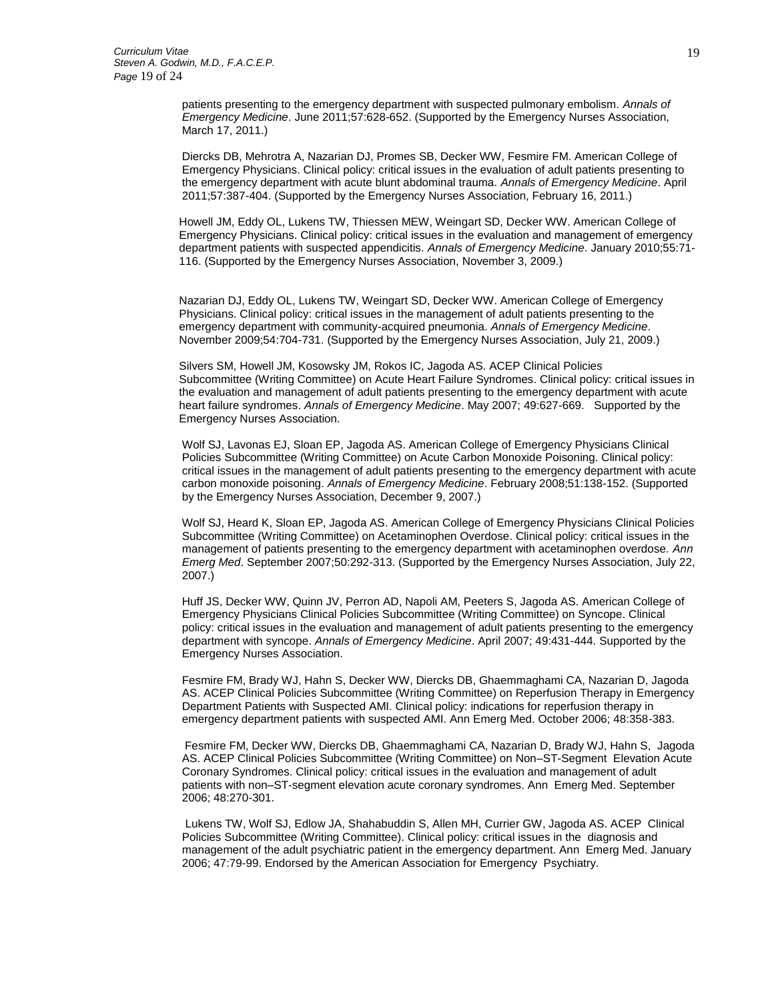patients presenting to the emergency department with suspected pulmonary embolism. *Annals of Emergency Medicine*. June 2011;57:628-652. (Supported by the Emergency Nurses Association, March 17, 2011.)

Diercks DB, Mehrotra A, Nazarian DJ, Promes SB, Decker WW, Fesmire FM. American College of Emergency Physicians. Clinical policy: critical issues in the evaluation of adult patients presenting to the emergency department with acute blunt abdominal trauma. *Annals of Emergency Medicine*. April 2011;57:387-404. (Supported by the Emergency Nurses Association, February 16, 2011.)

Howell JM, Eddy OL, Lukens TW, Thiessen MEW, Weingart SD, Decker WW. American College of Emergency Physicians. Clinical policy: critical issues in the evaluation and management of emergency department patients with suspected appendicitis. *Annals of Emergency Medicine*. January 2010;55:71- 116. (Supported by the Emergency Nurses Association, November 3, 2009.)

Nazarian DJ, Eddy OL, Lukens TW, Weingart SD, Decker WW. American College of Emergency Physicians. Clinical policy: critical issues in the management of adult patients presenting to the emergency department with community-acquired pneumonia. *Annals of Emergency Medicine*. November 2009;54:704-731. (Supported by the Emergency Nurses Association, July 21, 2009.)

Silvers SM, Howell JM, Kosowsky JM, Rokos IC, Jagoda AS. ACEP Clinical Policies Subcommittee (Writing Committee) on Acute Heart Failure Syndromes. Clinical policy: critical issues in the evaluation and management of adult patients presenting to the emergency department with acute heart failure syndromes. *Annals of Emergency Medicine*. May 2007; 49:627-669. Supported by the Emergency Nurses Association.

Wolf SJ, Lavonas EJ, Sloan EP, Jagoda AS. American College of Emergency Physicians Clinical Policies Subcommittee (Writing Committee) on Acute Carbon Monoxide Poisoning. Clinical policy: critical issues in the management of adult patients presenting to the emergency department with acute carbon monoxide poisoning. *Annals of Emergency Medicine*. February 2008;51:138-152. (Supported by the Emergency Nurses Association, December 9, 2007.)

Wolf SJ, Heard K, Sloan EP, Jagoda AS. American College of Emergency Physicians Clinical Policies Subcommittee (Writing Committee) on Acetaminophen Overdose. Clinical policy: critical issues in the management of patients presenting to the emergency department with acetaminophen overdose. *Ann Emerg Med*. September 2007;50:292-313. (Supported by the Emergency Nurses Association, July 22, 2007.)

Huff JS, Decker WW, Quinn JV, Perron AD, Napoli AM, Peeters S, Jagoda AS. American College of Emergency Physicians Clinical Policies Subcommittee (Writing Committee) on Syncope. Clinical policy: critical issues in the evaluation and management of adult patients presenting to the emergency department with syncope. *Annals of Emergency Medicine*. April 2007; 49:431-444. Supported by the Emergency Nurses Association.

Fesmire FM, Brady WJ, Hahn S, Decker WW, Diercks DB, Ghaemmaghami CA, Nazarian D, Jagoda AS. ACEP Clinical Policies Subcommittee (Writing Committee) on Reperfusion Therapy in Emergency Department Patients with Suspected AMI. Clinical policy: indications for reperfusion therapy in emergency department patients with suspected AMI. Ann Emerg Med. October 2006; 48:358-383.

Fesmire FM, Decker WW, Diercks DB, Ghaemmaghami CA, Nazarian D, Brady WJ, Hahn S, Jagoda AS. ACEP Clinical Policies Subcommittee (Writing Committee) on Non–ST-Segment Elevation Acute Coronary Syndromes. Clinical policy: critical issues in the evaluation and management of adult patients with non–ST-segment elevation acute coronary syndromes. Ann Emerg Med. September 2006; 48:270-301.

Lukens TW, Wolf SJ, Edlow JA, Shahabuddin S, Allen MH, Currier GW, Jagoda AS. ACEP Clinical Policies Subcommittee (Writing Committee). Clinical policy: critical issues in the diagnosis and management of the adult psychiatric patient in the emergency department. Ann Emerg Med. January 2006; 47:79-99. Endorsed by the American Association for Emergency Psychiatry.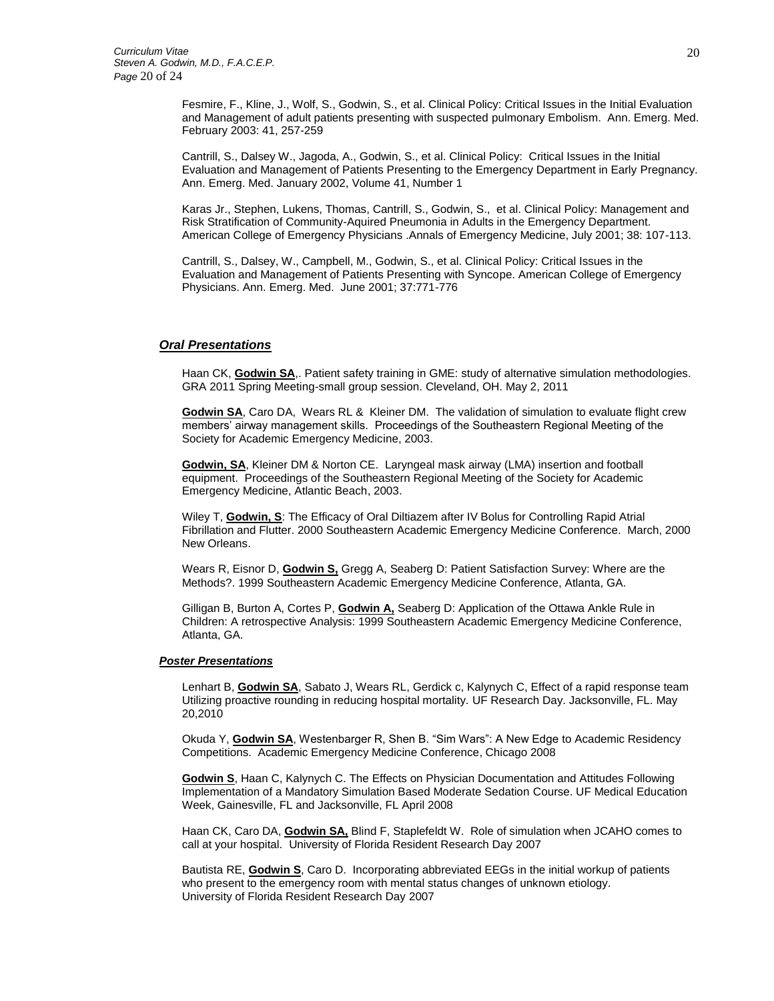Fesmire, F., Kline, J., Wolf, S., Godwin, S., et al. Clinical Policy: Critical Issues in the Initial Evaluation and Management of adult patients presenting with suspected pulmonary Embolism. Ann. Emerg. Med. February 2003: 41, 257-259

Cantrill, S., Dalsey W., Jagoda, A., Godwin, S., et al. Clinical Policy: Critical Issues in the Initial Evaluation and Management of Patients Presenting to the Emergency Department in Early Pregnancy. Ann. Emerg. Med. January 2002, Volume 41, Number 1

Karas Jr., Stephen, Lukens, Thomas, Cantrill, S., Godwin, S., et al. Clinical Policy: Management and Risk Stratification of Community-Aquired Pneumonia in Adults in the Emergency Department. American College of Emergency Physicians .Annals of Emergency Medicine, July 2001; 38: 107-113.

Cantrill, S., Dalsey, W., Campbell, M., Godwin, S., et al. Clinical Policy: Critical Issues in the Evaluation and Management of Patients Presenting with Syncope. American College of Emergency Physicians. Ann. Emerg. Med. June 2001; 37:771-776

#### *Oral Presentations*

Haan CK, **Godwin SA**,. Patient safety training in GME: study of alternative simulation methodologies. GRA 2011 Spring Meeting-small group session. Cleveland, OH. May 2, 2011

**Godwin SA**, Caro DA, Wears RL & Kleiner DM. The validation of simulation to evaluate flight crew members' airway management skills. Proceedings of the Southeastern Regional Meeting of the Society for Academic Emergency Medicine, 2003.

**Godwin, SA**, Kleiner DM & Norton CE. Laryngeal mask airway (LMA) insertion and football equipment. Proceedings of the Southeastern Regional Meeting of the Society for Academic Emergency Medicine, Atlantic Beach, 2003.

Wiley T, **Godwin, S**: The Efficacy of Oral Diltiazem after IV Bolus for Controlling Rapid Atrial Fibrillation and Flutter. 2000 Southeastern Academic Emergency Medicine Conference. March, 2000 New Orleans.

Wears R, Eisnor D, **Godwin S,** Gregg A, Seaberg D: Patient Satisfaction Survey: Where are the Methods?. 1999 Southeastern Academic Emergency Medicine Conference, Atlanta, GA.

Gilligan B, Burton A, Cortes P, **Godwin A,** Seaberg D: Application of the Ottawa Ankle Rule in Children: A retrospective Analysis: 1999 Southeastern Academic Emergency Medicine Conference, Atlanta, GA.

#### *Poster Presentations*

Lenhart B, **Godwin SA**, Sabato J, Wears RL, Gerdick c, Kalynych C, Effect of a rapid response team Utilizing proactive rounding in reducing hospital mortality. UF Research Day. Jacksonville, FL. May 20,2010

Okuda Y, **Godwin SA**, Westenbarger R, Shen B. "Sim Wars": A New Edge to Academic Residency Competitions. Academic Emergency Medicine Conference, Chicago 2008

**Godwin S**, Haan C, Kalynych C. The Effects on Physician Documentation and Attitudes Following Implementation of a Mandatory Simulation Based Moderate Sedation Course. UF Medical Education Week, Gainesville, FL and Jacksonville, FL April 2008

Haan CK, Caro DA, **Godwin SA,** Blind F, Staplefeldt W. Role of simulation when JCAHO comes to call at your hospital. University of Florida Resident Research Day 2007

Bautista RE, **Godwin S**, Caro D. Incorporating abbreviated EEGs in the initial workup of patients who present to the emergency room with mental status changes of unknown etiology. University of Florida Resident Research Day 2007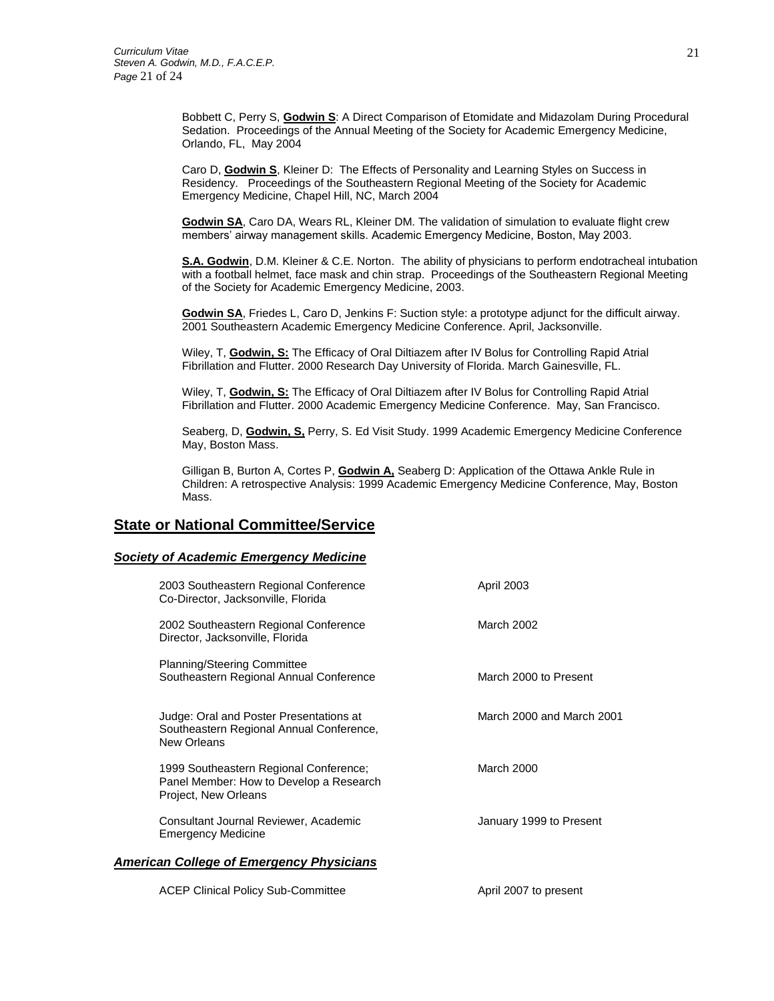Bobbett C, Perry S, **Godwin S**: A Direct Comparison of Etomidate and Midazolam During Procedural Sedation. Proceedings of the Annual Meeting of the Society for Academic Emergency Medicine, Orlando, FL, May 2004

Caro D, **Godwin S**, Kleiner D: The Effects of Personality and Learning Styles on Success in Residency. Proceedings of the Southeastern Regional Meeting of the Society for Academic Emergency Medicine, Chapel Hill, NC, March 2004

**Godwin SA**, Caro DA, Wears RL, Kleiner DM. The validation of simulation to evaluate flight crew members' airway management skills. Academic Emergency Medicine, Boston, May 2003.

**S.A. Godwin**, D.M. Kleiner & C.E. Norton. The ability of physicians to perform endotracheal intubation with a football helmet, face mask and chin strap. Proceedings of the Southeastern Regional Meeting of the Society for Academic Emergency Medicine, 2003.

**Godwin SA**, Friedes L, Caro D, Jenkins F: Suction style: a prototype adjunct for the difficult airway. 2001 Southeastern Academic Emergency Medicine Conference. April, Jacksonville.

Wiley, T, **Godwin, S:** The Efficacy of Oral Diltiazem after IV Bolus for Controlling Rapid Atrial Fibrillation and Flutter. 2000 Research Day University of Florida. March Gainesville, FL.

Wiley, T, **Godwin, S:** The Efficacy of Oral Diltiazem after IV Bolus for Controlling Rapid Atrial Fibrillation and Flutter. 2000 Academic Emergency Medicine Conference. May, San Francisco.

Seaberg, D, **Godwin, S,** Perry, S. Ed Visit Study. 1999 Academic Emergency Medicine Conference May, Boston Mass.

Gilligan B, Burton A, Cortes P, **Godwin A,** Seaberg D: Application of the Ottawa Ankle Rule in Children: A retrospective Analysis: 1999 Academic Emergency Medicine Conference, May, Boston Mass.

### **State or National Committee/Service**

#### *Society of Academic Emergency Medicine*

|                                                 | 2003 Southeastern Regional Conference<br>Co-Director, Jacksonville, Florida                               | April 2003                |
|-------------------------------------------------|-----------------------------------------------------------------------------------------------------------|---------------------------|
|                                                 | 2002 Southeastern Regional Conference<br>Director, Jacksonville, Florida                                  | March 2002                |
|                                                 | <b>Planning/Steering Committee</b><br>Southeastern Regional Annual Conference                             | March 2000 to Present     |
|                                                 | Judge: Oral and Poster Presentations at<br>Southeastern Regional Annual Conference,<br>New Orleans        | March 2000 and March 2001 |
|                                                 | 1999 Southeastern Regional Conference;<br>Panel Member: How to Develop a Research<br>Project, New Orleans | March 2000                |
|                                                 | Consultant Journal Reviewer, Academic<br><b>Emergency Medicine</b>                                        | January 1999 to Present   |
| <b>American College of Emergency Physicians</b> |                                                                                                           |                           |
|                                                 | <b>ACEP Clinical Policy Sub-Committee</b>                                                                 | April 2007 to present     |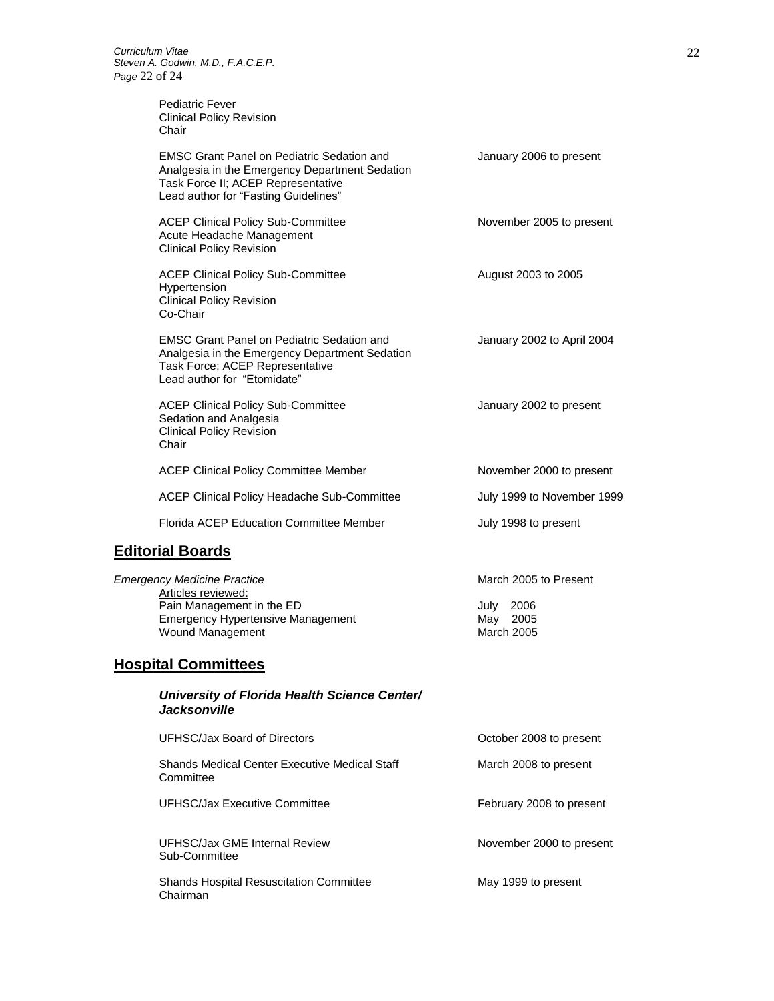Chairman

Pediatric Fever Clinical Policy Revision Chair

| <b>EMSC Grant Panel on Pediatric Sedation and</b><br>Analgesia in the Emergency Department Sedation<br>Task Force II; ACEP Representative<br>Lead author for "Fasting Guidelines" | January 2006 to present                                         |
|-----------------------------------------------------------------------------------------------------------------------------------------------------------------------------------|-----------------------------------------------------------------|
| <b>ACEP Clinical Policy Sub-Committee</b><br>Acute Headache Management<br><b>Clinical Policy Revision</b>                                                                         | November 2005 to present                                        |
| <b>ACEP Clinical Policy Sub-Committee</b><br>Hypertension<br><b>Clinical Policy Revision</b><br>Co-Chair                                                                          | August 2003 to 2005                                             |
| <b>EMSC Grant Panel on Pediatric Sedation and</b><br>Analgesia in the Emergency Department Sedation<br>Task Force; ACEP Representative<br>Lead author for "Etomidate"             | January 2002 to April 2004                                      |
| <b>ACEP Clinical Policy Sub-Committee</b><br>Sedation and Analgesia<br><b>Clinical Policy Revision</b><br>Chair                                                                   | January 2002 to present                                         |
| <b>ACEP Clinical Policy Committee Member</b>                                                                                                                                      | November 2000 to present                                        |
| ACEP Clinical Policy Headache Sub-Committee                                                                                                                                       | July 1999 to November 1999                                      |
| Florida ACEP Education Committee Member                                                                                                                                           | July 1998 to present                                            |
| <b>Editorial Boards</b>                                                                                                                                                           |                                                                 |
| <b>Emergency Medicine Practice</b><br>Articles reviewed:<br>Pain Management in the ED<br><b>Emergency Hypertensive Management</b><br>Wound Management                             | March 2005 to Present<br>2006<br>July<br>May 2005<br>March 2005 |
| <b>Hospital Committees</b>                                                                                                                                                        |                                                                 |
| University of Florida Health Science Center/<br>Jacksonville                                                                                                                      |                                                                 |
| <b>UFHSC/Jax Board of Directors</b>                                                                                                                                               | October 2008 to present                                         |
| <b>Shands Medical Center Executive Medical Staff</b><br>Committee                                                                                                                 | March 2008 to present                                           |
| UFHSC/Jax Executive Committee                                                                                                                                                     | February 2008 to present                                        |
| UFHSC/Jax GME Internal Review<br>Sub-Committee                                                                                                                                    | November 2000 to present                                        |
| <b>Shands Hospital Resuscitation Committee</b>                                                                                                                                    | May 1999 to present                                             |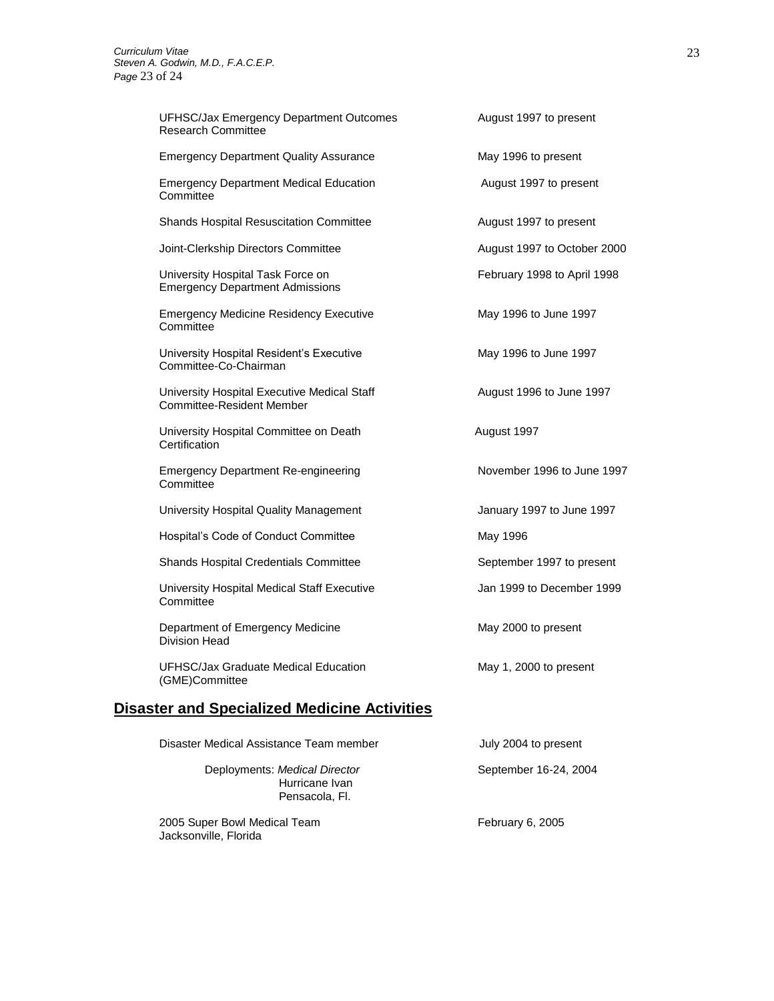| <b>UFHSC/Jax Emergency Department Outcomes</b><br><b>Research Committee</b>     | August 1997 to present      |  |
|---------------------------------------------------------------------------------|-----------------------------|--|
| <b>Emergency Department Quality Assurance</b>                                   | May 1996 to present         |  |
| <b>Emergency Department Medical Education</b><br>Committee                      | August 1997 to present      |  |
| <b>Shands Hospital Resuscitation Committee</b>                                  | August 1997 to present      |  |
| Joint-Clerkship Directors Committee                                             | August 1997 to October 2000 |  |
| University Hospital Task Force on<br><b>Emergency Department Admissions</b>     | February 1998 to April 1998 |  |
| <b>Emergency Medicine Residency Executive</b><br>Committee                      | May 1996 to June 1997       |  |
| University Hospital Resident's Executive<br>Committee-Co-Chairman               | May 1996 to June 1997       |  |
| University Hospital Executive Medical Staff<br><b>Committee-Resident Member</b> | August 1996 to June 1997    |  |
| University Hospital Committee on Death<br>Certification                         | August 1997                 |  |
| <b>Emergency Department Re-engineering</b><br>Committee                         | November 1996 to June 1997  |  |
| University Hospital Quality Management                                          | January 1997 to June 1997   |  |
| Hospital's Code of Conduct Committee                                            | May 1996                    |  |
| Shands Hospital Credentials Committee                                           | September 1997 to present   |  |
| University Hospital Medical Staff Executive<br>Committee                        | Jan 1999 to December 1999   |  |
| Department of Emergency Medicine<br>Division Head                               | May 2000 to present         |  |
| UFHSC/Jax Graduate Medical Education<br>(GME)Committee                          | May 1, 2000 to present      |  |
| <b>Disaster and Specialized Medicine Activities</b>                             |                             |  |
| Disaster Medical Assistance Team member                                         | July 2004 to present        |  |
|                                                                                 |                             |  |

Deployments: *Medical Director* September 16-24, 2004 Hurricane Ivan Pensacola, Fl.

2005 Super Bowl Medical Team February 6, 2005 Jacksonville, Florida